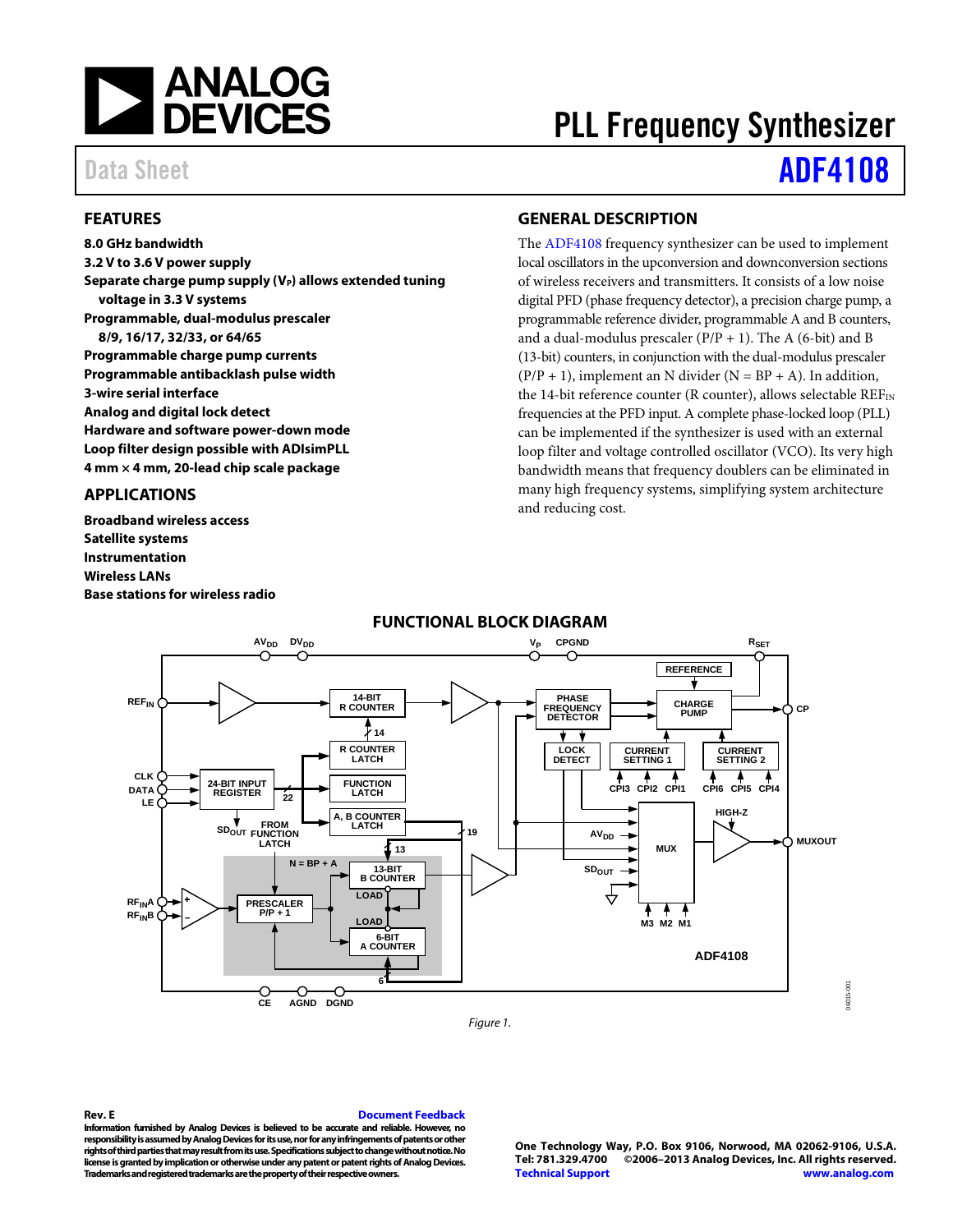

# PLL Frequency Synthesizer

# Data Sheet **[ADF4108](http://www.analog.com/ADF4108?doc=ADF4108.pdf)**

# <span id="page-0-0"></span>**FEATURES**

**8.0 GHz bandwidth 3.2 V to 3.6 V power supply** Separate charge pump supply (V<sub>P</sub>) allows extended tuning **voltage in 3.3 V systems Programmable, dual-modulus prescaler 8/9, 16/17, 32/33, or 64/65 Programmable charge pump currents Programmable antibacklash pulse width 3-wire serial interface Analog and digital lock detect Hardware and software power-down mode Loop filter design possible with ADIsimPLL 4 mm × 4 mm, 20-lead chip scale package**

# <span id="page-0-1"></span>**APPLICATIONS**

**Broadband wireless access Satellite systems Instrumentation Wireless LANs Base stations for wireless radio**

# <span id="page-0-2"></span>**GENERAL DESCRIPTION**

The [ADF4108](http://www.analog.com/ADF4108) frequency synthesizer can be used to implement local oscillators in the upconversion and downconversion sections of wireless receivers and transmitters. It consists of a low noise digital PFD (phase frequency detector), a precision charge pump, a programmable reference divider, programmable A and B counters, and a dual-modulus prescaler  $(P/P + 1)$ . The A (6-bit) and B (13-bit) counters, in conjunction with the dual-modulus prescaler  $(P/P + 1)$ , implement an N divider (N = BP + A). In addition, the 14-bit reference counter (R counter), allows selectable  $REF_{IN}$ frequencies at the PFD input. A complete phase-locked loop (PLL) can be implemented if the synthesizer is used with an external loop filter and voltage controlled oscillator (VCO). Its very high bandwidth means that frequency doublers can be eliminated in many high frequency systems, simplifying system architecture and reducing cost.

<span id="page-0-3"></span>

# **FUNCTIONAL BLOCK DIAGRAM**

*Figure 1.*

#### **Rev. E [Document Feedback](https://form.analog.com/Form_Pages/feedback/documentfeedback.aspx?doc=ADF4108.pdf&product=ADF4108&rev=E)**

**Information furnished by Analog Devices is believed to be accurate and reliable. However, no responsibility is assumed by Analog Devices for its use, nor for any infringements of patents or other rights of third parties that may result from its use. Specifications subject to change without notice. No license is grantedby implication or otherwise under any patent or patent rights of Analog Devices. Trademarks and registered trademarks are the property of their respective owners.**

**One Technology Way, P.O. Box 9106, Norwood, MA 02062-9106, U.S.A. Tel: 781.329.4700 ©2006–2013 Analog Devices, Inc. All rights reserved. [Technical Support](http://www.analog.com/en/content/technical_support_page/fca.html) [www.analog.com](http://www.analog.com/)**

06015-001

6015-00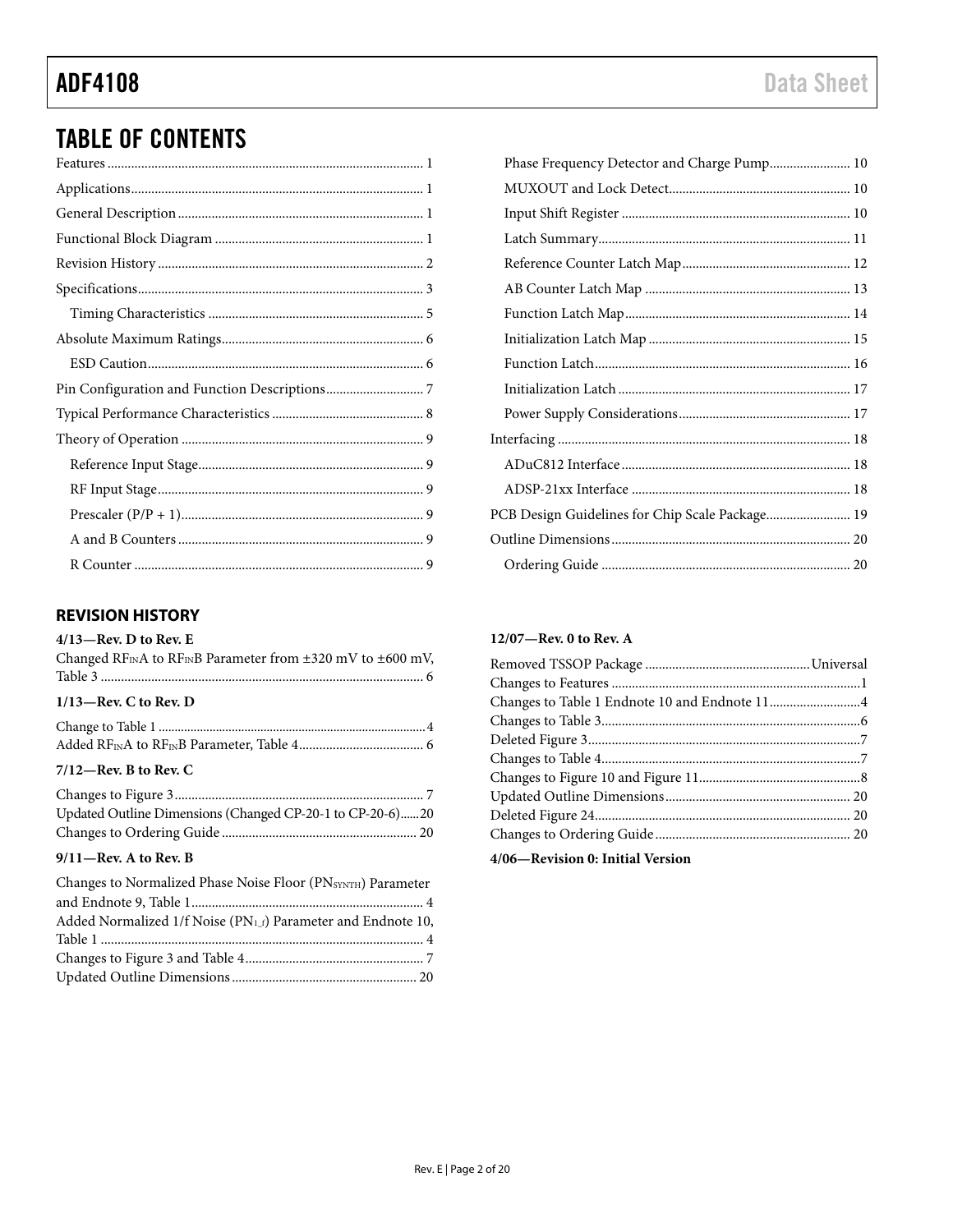# **TABLE OF CONTENTS**

# <span id="page-1-0"></span>**REVISION HISTORY**

## $4/13$ -Rev. D to Rev. E

| Changed RF <sub>IN</sub> A to RF <sub>IN</sub> B Parameter from $\pm$ 320 mV to $\pm$ 600 mV, |
|-----------------------------------------------------------------------------------------------|
| $1/13$ —Rev. C to Rev. D                                                                      |
|                                                                                               |
| $7/12$ -Rev. B to Rev. C                                                                      |
|                                                                                               |

| Updated Outline Dimensions (Changed CP-20-1 to CP-20-6)20 |  |
|-----------------------------------------------------------|--|
|                                                           |  |

# 9/11-Rev. A to Rev. B

| Changes to Normalized Phase Noise Floor (PNSYNTH) Parameter               |  |
|---------------------------------------------------------------------------|--|
|                                                                           |  |
| Added Normalized 1/f Noise (PN <sub>1_f</sub> ) Parameter and Endnote 10, |  |
|                                                                           |  |
|                                                                           |  |
|                                                                           |  |

# 12/07---Rev. 0 to Rev. A

| Changes to Table 1 Endnote 10 and Endnote 114 |  |
|-----------------------------------------------|--|
|                                               |  |
|                                               |  |
|                                               |  |
|                                               |  |
|                                               |  |
|                                               |  |
|                                               |  |
|                                               |  |

4/06-Revision 0: Initial Version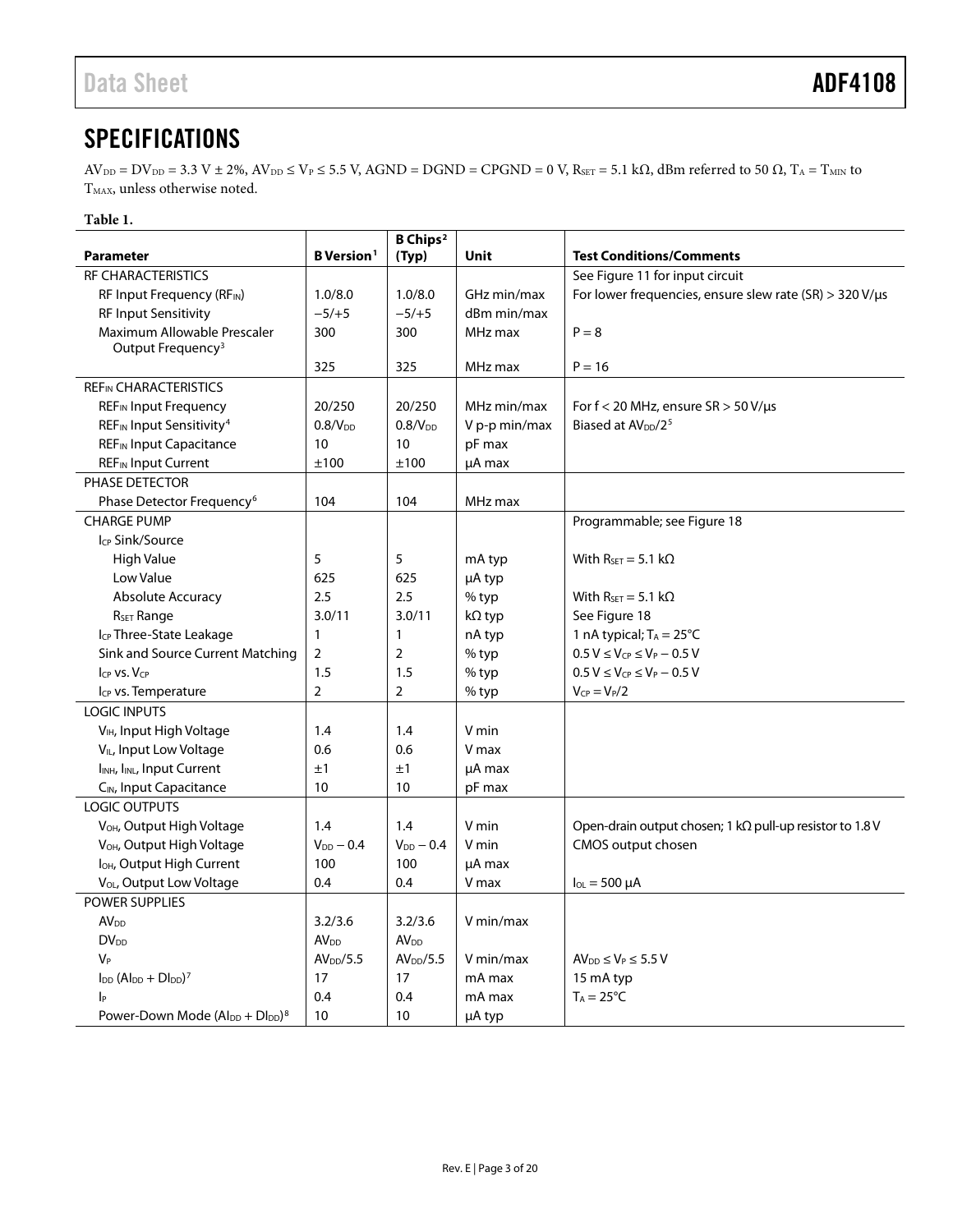# <span id="page-2-0"></span>**SPECIFICATIONS**

 $AV_{\text{DD}} = DV_{\text{DD}} = 3.3 \text{ V} \pm 2\%, AV_{\text{DD}} \leq V_{\text{P}} \leq 5.5 \text{ V}$ ,  $AGND = DGND = CPGND = 0 \text{ V}$ ,  $R_{\text{SET}} = 5.1 \text{ k}\Omega$ , dBm referred to 50  $\Omega$ ,  $T_A = T_{\text{MIN}}$  to  ${\rm T_{MAX}}$  unless otherwise noted.

# **Table 1.**

|                                                       |                               | <b>B</b> Chips <sup>2</sup> |               |                                                                 |
|-------------------------------------------------------|-------------------------------|-----------------------------|---------------|-----------------------------------------------------------------|
| <b>Parameter</b>                                      | <b>B</b> Version <sup>1</sup> | (Typ)                       | Unit          | <b>Test Conditions/Comments</b>                                 |
| <b>RF CHARACTERISTICS</b>                             |                               |                             |               | See Figure 11 for input circuit                                 |
| RF Input Frequency ( $RF_{IN}$ )                      | 1.0/8.0                       | 1.0/8.0                     | GHz min/max   | For lower frequencies, ensure slew rate (SR) $>$ 320 V/ $\mu$ s |
| <b>RF Input Sensitivity</b>                           | $-5/+5$                       | $-5/+5$                     | dBm min/max   |                                                                 |
| Maximum Allowable Prescaler                           | 300                           | 300                         | MHz max       | $P = 8$                                                         |
| Output Frequency <sup>3</sup>                         |                               |                             |               |                                                                 |
|                                                       | 325                           | 325                         | MHz max       | $P = 16$                                                        |
| <b>REFIN CHARACTERISTICS</b>                          |                               |                             |               |                                                                 |
| <b>REF</b> <sub>IN</sub> Input Frequency              | 20/250                        | 20/250                      | MHz min/max   | For $f < 20$ MHz, ensure $SR > 50$ V/ $\mu s$                   |
| REF <sub>IN</sub> Input Sensitivity <sup>4</sup>      | 0.8/V <sub>DD</sub>           | 0.8/V <sub>DD</sub>         | V p-p min/max | Biased at AV <sub>pp</sub> /2 <sup>5</sup>                      |
| <b>REFIN Input Capacitance</b>                        | 10                            | 10                          | pF max        |                                                                 |
| <b>REF</b> IN Input Current                           | ±100                          | ±100                        | µA max        |                                                                 |
| PHASE DETECTOR                                        |                               |                             |               |                                                                 |
| Phase Detector Frequency <sup>6</sup>                 | 104                           | 104                         | MHz max       |                                                                 |
| <b>CHARGE PUMP</b>                                    |                               |                             |               | Programmable; see Figure 18                                     |
| Icp Sink/Source                                       |                               |                             |               |                                                                 |
| High Value                                            | 5                             | 5                           | mA typ        | With $R_{SET} = 5.1 k\Omega$                                    |
| Low Value                                             | 625                           | 625                         | µA typ        |                                                                 |
| <b>Absolute Accuracy</b>                              | 2.5                           | 2.5                         | % typ         | With $R_{\text{SET}} = 5.1 \text{ k}\Omega$                     |
| R <sub>SET</sub> Range                                | 3.0/11                        | 3.0/11                      | kΩ typ        | See Figure 18                                                   |
| I <sub>CP</sub> Three-State Leakage                   | $\mathbf{1}$                  | 1                           | nA typ        | 1 nA typical; $T_A = 25^{\circ}C$                               |
| Sink and Source Current Matching                      | $\overline{2}$                | $\overline{2}$              | % typ         | $0.5 V \leq V_{CP} \leq V_P - 0.5 V$                            |
| $I_{CP}$ vs. $V_{CP}$                                 | 1.5                           | 1.5                         | % typ         | $0.5 V \le V_{CP} \le V_P - 0.5 V$                              |
| I <sub>CP</sub> vs. Temperature                       | $\overline{2}$                | $\overline{2}$              | % typ         | $V_{CP} = V_P/2$                                                |
| <b>LOGIC INPUTS</b>                                   |                               |                             |               |                                                                 |
| V <sub>IH</sub> , Input High Voltage                  | 1.4                           | 1.4                         | V min         |                                                                 |
| V <sub>IL</sub> , Input Low Voltage                   | 0.6                           | 0.6                         | V max         |                                                                 |
| I <sub>INH</sub> , I <sub>INL</sub> , Input Current   | ±1                            | ±1                          | µA max        |                                                                 |
| C <sub>IN</sub> , Input Capacitance                   | 10                            | 10                          | pF max        |                                                                 |
| LOGIC OUTPUTS                                         |                               |                             |               |                                                                 |
| V <sub>OH</sub> , Output High Voltage                 | 1.4                           | 1.4                         | V min         | Open-drain output chosen; 1 kΩ pull-up resistor to 1.8 V        |
| V <sub>OH</sub> , Output High Voltage                 | $V_{DD}$ – 0.4                | $V_{DD} - 0.4$              | V min         | CMOS output chosen                                              |
| I <sub>OH</sub> , Output High Current                 | 100                           | 100                         | µA max        |                                                                 |
| V <sub>OL</sub> , Output Low Voltage                  | 0.4                           | 0.4                         | V max         | $I_{OL} = 500 \mu A$                                            |
| <b>POWER SUPPLIES</b>                                 |                               |                             |               |                                                                 |
| <b>AV<sub>DD</sub></b>                                | 3.2/3.6                       | 3.2/3.6                     | V min/max     |                                                                 |
| <b>DV</b> <sub>DD</sub>                               | <b>AV<sub>DD</sub></b>        | <b>AV<sub>DD</sub></b>      |               |                                                                 |
| $V_P$                                                 | AV <sub>DD</sub> /5.5         | AV <sub>DD</sub> /5.5       | V min/max     | $AV_{DD} \leq V_P \leq 5.5 V$                                   |
| $I_{DD}$ (Al <sub>DD</sub> + $DI_{DD}$ ) <sup>7</sup> | 17                            | 17                          | mA max        | 15 mA typ                                                       |
| $ _{\mathsf{P}}$                                      | 0.4                           | 0.4                         | mA max        | $T_A = 25^{\circ}C$                                             |
| Power-Down Mode $(AI_{DD} + DI_{DD})^8$               | 10                            | 10                          | µA typ        |                                                                 |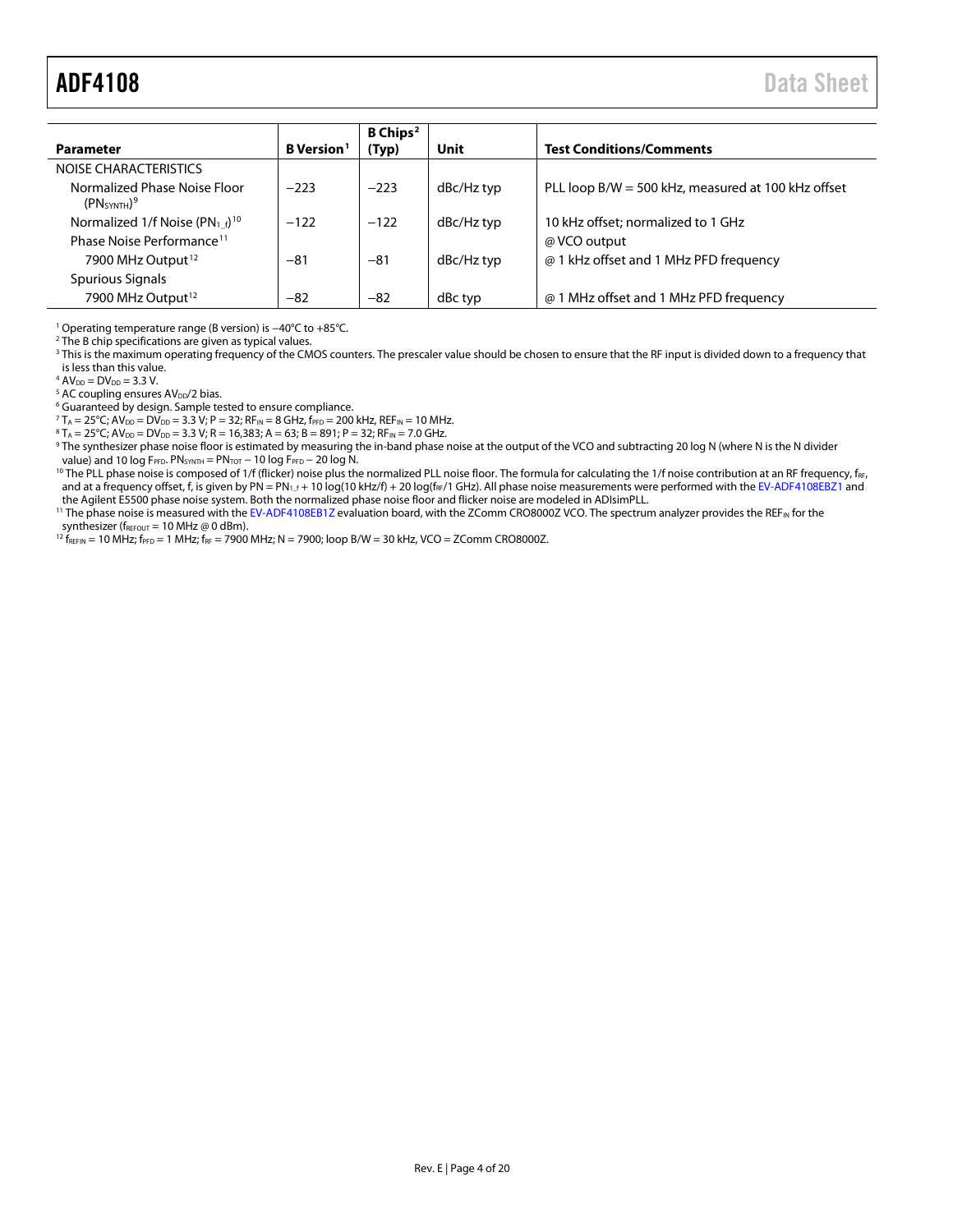<span id="page-3-0"></span>

| <b>Parameter</b>                                                    | B Version <sup>1</sup> | B Chips <sup>2</sup><br>(Typ) | Unit       | <b>Test Conditions/Comments</b>                    |
|---------------------------------------------------------------------|------------------------|-------------------------------|------------|----------------------------------------------------|
| NOISE CHARACTERISTICS                                               |                        |                               |            |                                                    |
| Normalized Phase Noise Floor<br>(PN <sub>SYNTH</sub> ) <sup>9</sup> | $-223$                 | $-223$                        | dBc/Hz typ | PLL loop B/W = 500 kHz, measured at 100 kHz offset |
| Normalized 1/f Noise ( $PN_1$ f) <sup>10</sup>                      | $-122$                 | $-122$                        | dBc/Hz typ | 10 kHz offset; normalized to 1 GHz                 |
| Phase Noise Performance <sup>11</sup>                               |                        |                               |            | @ VCO output                                       |
| 7900 MHz Output <sup>12</sup>                                       | $-81$                  | $-81$                         | dBc/Hz typ | @ 1 kHz offset and 1 MHz PFD frequency             |
| Spurious Signals                                                    |                        |                               |            |                                                    |
| 7900 MHz Output <sup>12</sup>                                       | $-82$                  | $-82$                         | dBc typ    | @ 1 MHz offset and 1 MHz PFD frequency             |

<sup>1</sup> Operating temperature range (B version) is −40°C to +85°C.

<sup>2</sup> The B chip specifications are given as typical values.

<sup>3</sup> This is the maximum operating frequency of the CMOS counters. The prescaler value should be chosen to ensure that the RF input is divided down to a frequency that is less than this value.

 $4$  AV<sub>DD</sub> = DV<sub>DD</sub> = 3.3 V.

 $5$  AC coupling ensures AV<sub>DD</sub>/2 bias.

<sup>6</sup> Guaranteed by design. Sample tested to ensure compliance.

 $7 T_A = 25^{\circ}$ C; AV<sub>DD</sub> = DV<sub>DD</sub> = 3.3 V; P = 32; RF<sub>IN</sub> = 8 GHz, f<sub>PFD</sub> = 200 kHz, REF<sub>IN</sub> = 10 MHz.

 ${}^{8}T_A = 25^{\circ}C$ ; AV<sub>DD</sub> = DV<sub>DD</sub> = 3.3 V; R = 16,383; A = 63; B = 891; P = 32; RF<sub>IN</sub> = 7.0 GHz.

9 The synthesizer phase noise floor is estimated by measuring the in-band phase noise at the output of the VCO and subtracting 20 log N (where N is the N divider value) and 10 log FPFD. PNSYNTH = PNTOT - 10 log FPFD - 20 log N.

<sup>10</sup> The PLL phase noise is composed of 1/f (flicker) noise plus the normalized PLL noise floor. The formula for calculating the 1/f noise contribution at an RF frequency,  $f_{RF}$ and at a frequency offset, f, is given by PN = PN<sub>1\_f</sub> + 10 log(10 kHz/f) + 20 log(f<sub>RF</sub>/1 GHz). All phase noise measurements were performed with th[e EV-ADF4108EBZ1](http://www.analog.com/adf4108) and the Agilent E5500 phase noise system. Both the normalized phase noise floor and flicker noise are modeled in ADIsimPLL.

<sup>11</sup> The phase noise is measured with th[e EV-ADF4108EB1Z](http://www.analog.com/adf4108) evaluation board, with the ZComm CRO8000Z VCO. The spectrum analyzer provides the REF<sub>IN</sub> for the synthesizer ( $f_{\text{REFOUT}}$  = 10 MHz @ 0 dBm).

 $^{12}$  f<sub>REFIN</sub> = 10 MHz; f<sub>PFD</sub> = 1 MHz; f<sub>RF</sub> = 7900 MHz; N = 7900; loop B/W = 30 kHz, VCO = ZComm CRO8000Z.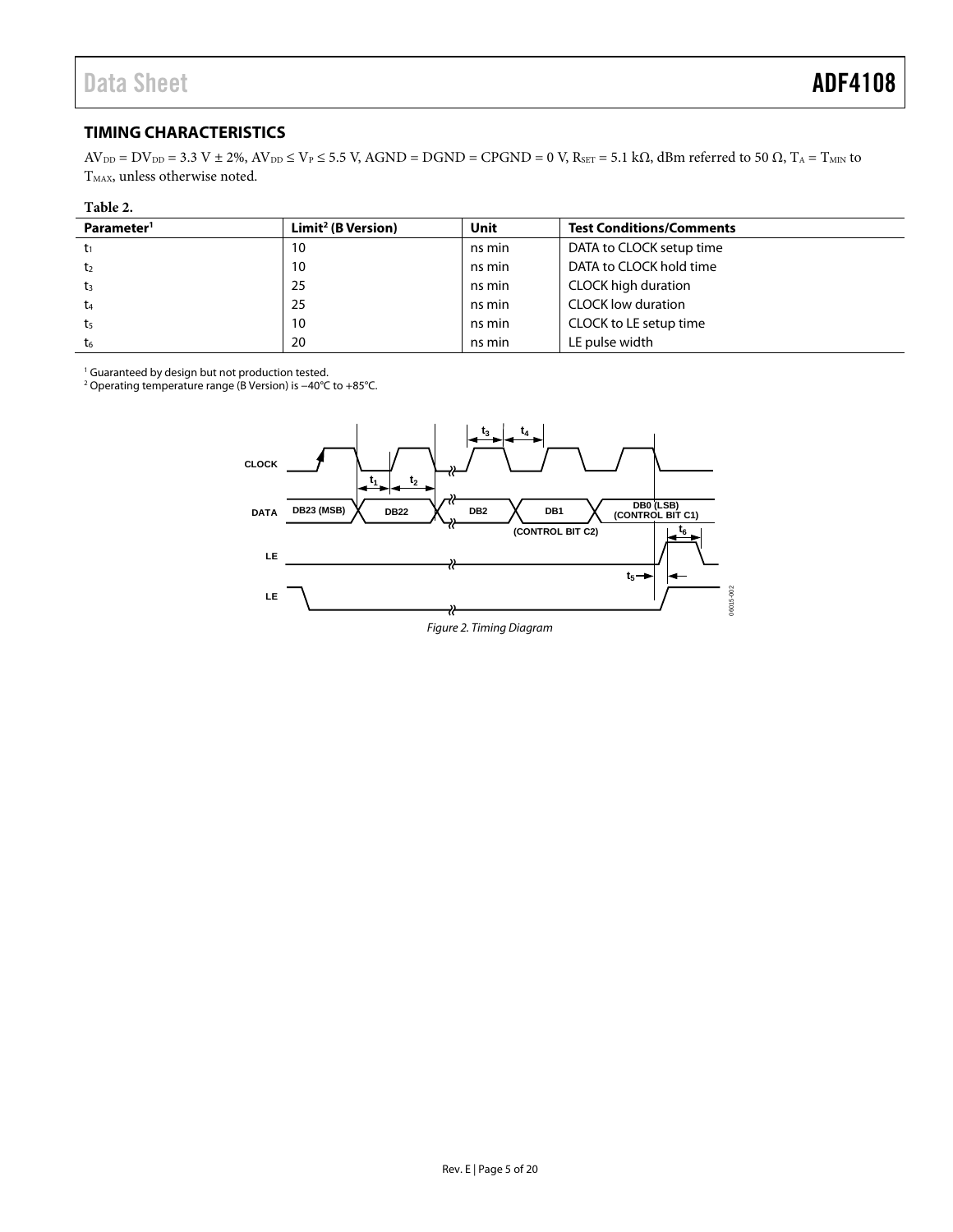# <span id="page-4-0"></span>**TIMING CHARACTERISTICS**

 $AV_{DD} = DV_{DD} = 3.3 V \pm 2\%, AV_{DD} \le V_P \le 5.5 V$ ,  $AGND = DGND = CPGND = 0 V$ ,  $R_{SET} = 5.1 k\Omega$ , dBm referred to 50  $\Omega$ ,  $T_A = T_{MIN}$  to T<sub>MAX</sub>, unless otherwise noted.

| Parameter <sup>1</sup> | Limit <sup>2</sup> (B Version) | Unit   | <b>Test Conditions/Comments</b> |
|------------------------|--------------------------------|--------|---------------------------------|
|                        | 10                             | ns min | DATA to CLOCK setup time        |
| t2                     | 10                             | ns min | DATA to CLOCK hold time         |
| t3                     | 25                             | ns min | <b>CLOCK high duration</b>      |
| t4                     | 25                             | ns min | <b>CLOCK low duration</b>       |
| t5                     | 10                             | ns min | CLOCK to LE setup time          |
| t6                     | 20                             | ns min | LE pulse width                  |

<span id="page-4-1"></span>1 Guaranteed by design but not production tested. 2 Operating temperature range (B Version) is −40°C to +85°C.



Figure 2. Timing Diagram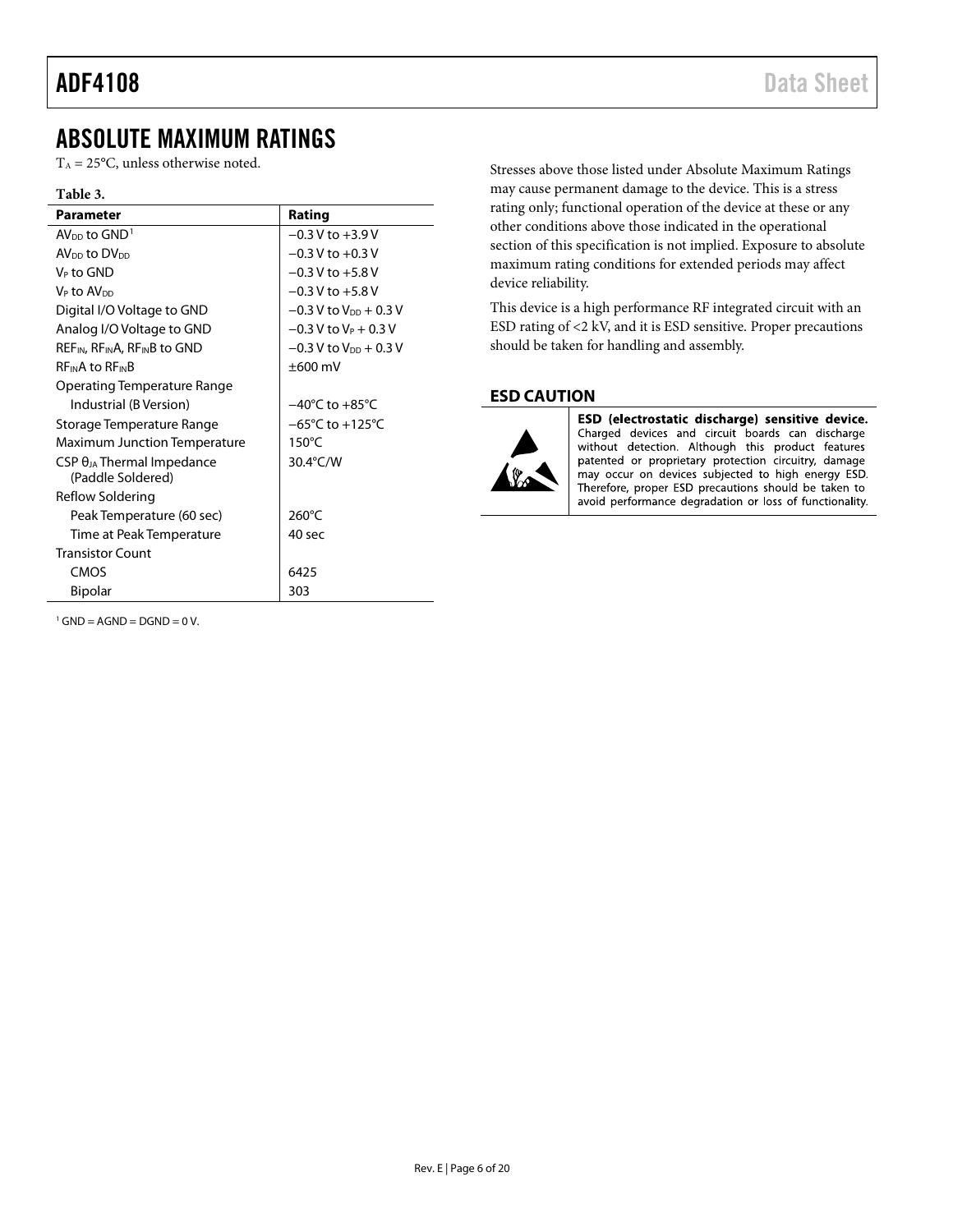# <span id="page-5-0"></span>ABSOLUTE MAXIMUM RATINGS

 $T_A = 25$ °C, unless otherwise noted.

#### **Table 3.**

| <b>Parameter</b>                                                  | Rating                              |
|-------------------------------------------------------------------|-------------------------------------|
| $AV_{DD}$ to $GND1$                                               | $-0.3 V$ to $+3.9 V$                |
| AV <sub>DD</sub> to DV <sub>DD</sub>                              | $-0.3$ V to $+0.3$ V                |
| V⊳ to GND                                                         | $-0.3$ V to $+5.8$ V                |
| V⊳ to AV <sub>DD</sub>                                            | $-0.3$ V to $+5.8$ V                |
| Digital I/O Voltage to GND                                        | $-0.3$ V to V <sub>DD</sub> + 0.3 V |
| Analog I/O Voltage to GND                                         | $-0.3$ V to V <sub>P</sub> + 0.3 V  |
| REF <sub>IN</sub> , RF <sub>IN</sub> A, RF <sub>IN</sub> B to GND | $-0.3$ V to V <sub>DD</sub> + 0.3 V |
| <b>REINA to REINB</b>                                             | $\pm 600$ mV                        |
| Operating Temperature Range                                       |                                     |
| Industrial (B Version)                                            | $-40^{\circ}$ C to $+85^{\circ}$ C  |
| Storage Temperature Range                                         | $-65^{\circ}$ C to $+125^{\circ}$ C |
| <b>Maximum Junction Temperature</b>                               | $150^{\circ}$ C                     |
| $CSP \theta_{JA}$ Thermal Impedance                               | 30.4°C/W                            |
| (Paddle Soldered)                                                 |                                     |
| Reflow Soldering                                                  |                                     |
| Peak Temperature (60 sec)                                         | $260^{\circ}$ C                     |
| Time at Peak Temperature                                          | 40 sec                              |
| <b>Transistor Count</b>                                           |                                     |
| CMOS                                                              | 6425                                |
| <b>Bipolar</b>                                                    | 303                                 |

<span id="page-5-2"></span> $1$  GND = AGND = DGND = 0 V.

Stresses above those listed under Absolute Maximum Ratings may cause permanent damage to the device. This is a stress rating only; functional operation of the device at these or any other conditions above those indicated in the operational section of this specification is not implied. Exposure to absolute maximum rating conditions for extended periods may affect device reliability.

This device is a high performance RF integrated circuit with an ESD rating of <2 kV, and it is ESD sensitive. Proper precautions should be taken for handling and assembly.

# <span id="page-5-1"></span>**ESD CAUTION**



ESD (electrostatic discharge) sensitive device. Charged devices and circuit boards can discharge without detection. Although this product features patented or proprietary protection circuitry, damage may occur on devices subjected to high energy ESD. Therefore, proper ESD precautions should be taken to avoid performance degradation or loss of functionality.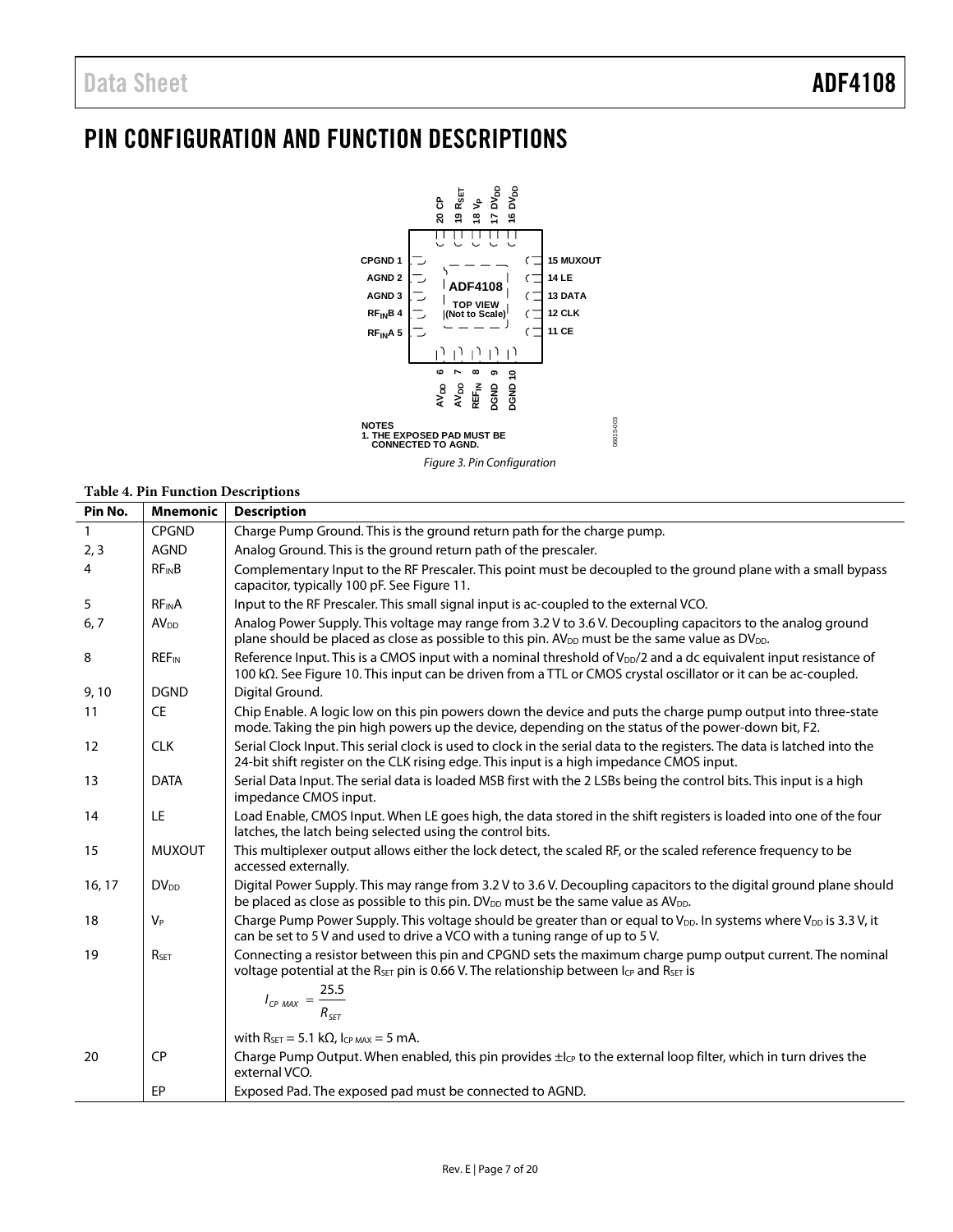# <span id="page-6-0"></span>PIN CONFIGURATION AND FUNCTION DESCRIPTIONS



Figure 3. Pin Configuration

### **Table 4. Pin Function Descriptions**

| Pin No. | <b>Mnemonic</b>         | <b>Description</b>                                                                                                                                                                                                                             |
|---------|-------------------------|------------------------------------------------------------------------------------------------------------------------------------------------------------------------------------------------------------------------------------------------|
|         | <b>CPGND</b>            | Charge Pump Ground. This is the ground return path for the charge pump.                                                                                                                                                                        |
| 2, 3    | <b>AGND</b>             | Analog Ground. This is the ground return path of the prescaler.                                                                                                                                                                                |
| 4       | <b>RFINB</b>            | Complementary Input to the RF Prescaler. This point must be decoupled to the ground plane with a small bypass<br>capacitor, typically 100 pF. See Figure 11.                                                                                   |
| 5       | <b>RFINA</b>            | Input to the RF Prescaler. This small signal input is ac-coupled to the external VCO.                                                                                                                                                          |
| 6, 7    | AV <sub>DD</sub>        | Analog Power Supply. This voltage may range from 3.2 V to 3.6 V. Decoupling capacitors to the analog ground<br>plane should be placed as close as possible to this pin. $AV_{DD}$ must be the same value as $DV_{DD}$ .                        |
| 8       | <b>REF<sub>IN</sub></b> | Reference Input. This is a CMOS input with a nominal threshold of V <sub>DD</sub> /2 and a dc equivalent input resistance of<br>100 kΩ. See Figure 10. This input can be driven from a TTL or CMOS crystal oscillator or it can be ac-coupled. |
| 9,10    | <b>DGND</b>             | Digital Ground.                                                                                                                                                                                                                                |
| 11      | <b>CE</b>               | Chip Enable. A logic low on this pin powers down the device and puts the charge pump output into three-state<br>mode. Taking the pin high powers up the device, depending on the status of the power-down bit, F2.                             |
| 12      | <b>CLK</b>              | Serial Clock Input. This serial clock is used to clock in the serial data to the registers. The data is latched into the<br>24-bit shift register on the CLK rising edge. This input is a high impedance CMOS input.                           |
| 13      | <b>DATA</b>             | Serial Data Input. The serial data is loaded MSB first with the 2 LSBs being the control bits. This input is a high<br>impedance CMOS input.                                                                                                   |
| 14      | LE                      | Load Enable, CMOS Input. When LE goes high, the data stored in the shift registers is loaded into one of the four<br>latches, the latch being selected using the control bits.                                                                 |
| 15      | <b>MUXOUT</b>           | This multiplexer output allows either the lock detect, the scaled RF, or the scaled reference frequency to be<br>accessed externally.                                                                                                          |
| 16, 17  | <b>DV<sub>DD</sub></b>  | Digital Power Supply. This may range from 3.2 V to 3.6 V. Decoupling capacitors to the digital ground plane should<br>be placed as close as possible to this pin. DV <sub>DD</sub> must be the same value as AV <sub>DD</sub> .                |
| 18      | $V_P$                   | Charge Pump Power Supply. This voltage should be greater than or equal to V <sub>DD</sub> . In systems where V <sub>DD</sub> is 3.3 V <sub>r</sub> it<br>can be set to 5 V and used to drive a VCO with a tuning range of up to 5 V.           |
| 19      | R <sub>SET</sub>        | Connecting a resistor between this pin and CPGND sets the maximum charge pump output current. The nominal<br>voltage potential at the R <sub>SET</sub> pin is 0.66 V. The relationship between $I_{CP}$ and R <sub>SET</sub> is                |
|         |                         | $I_{CP \, MAX} = \frac{25.5}{R_{SET}}$                                                                                                                                                                                                         |
|         |                         | with $R_{\text{SET}} = 5.1 \text{ k}\Omega$ , $I_{\text{CP MAX}} = 5 \text{ mA}$ .                                                                                                                                                             |
| 20      | <b>CP</b>               | Charge Pump Output. When enabled, this pin provides $\pm l_{CP}$ to the external loop filter, which in turn drives the<br>external VCO.                                                                                                        |
|         | EP                      | Exposed Pad. The exposed pad must be connected to AGND.                                                                                                                                                                                        |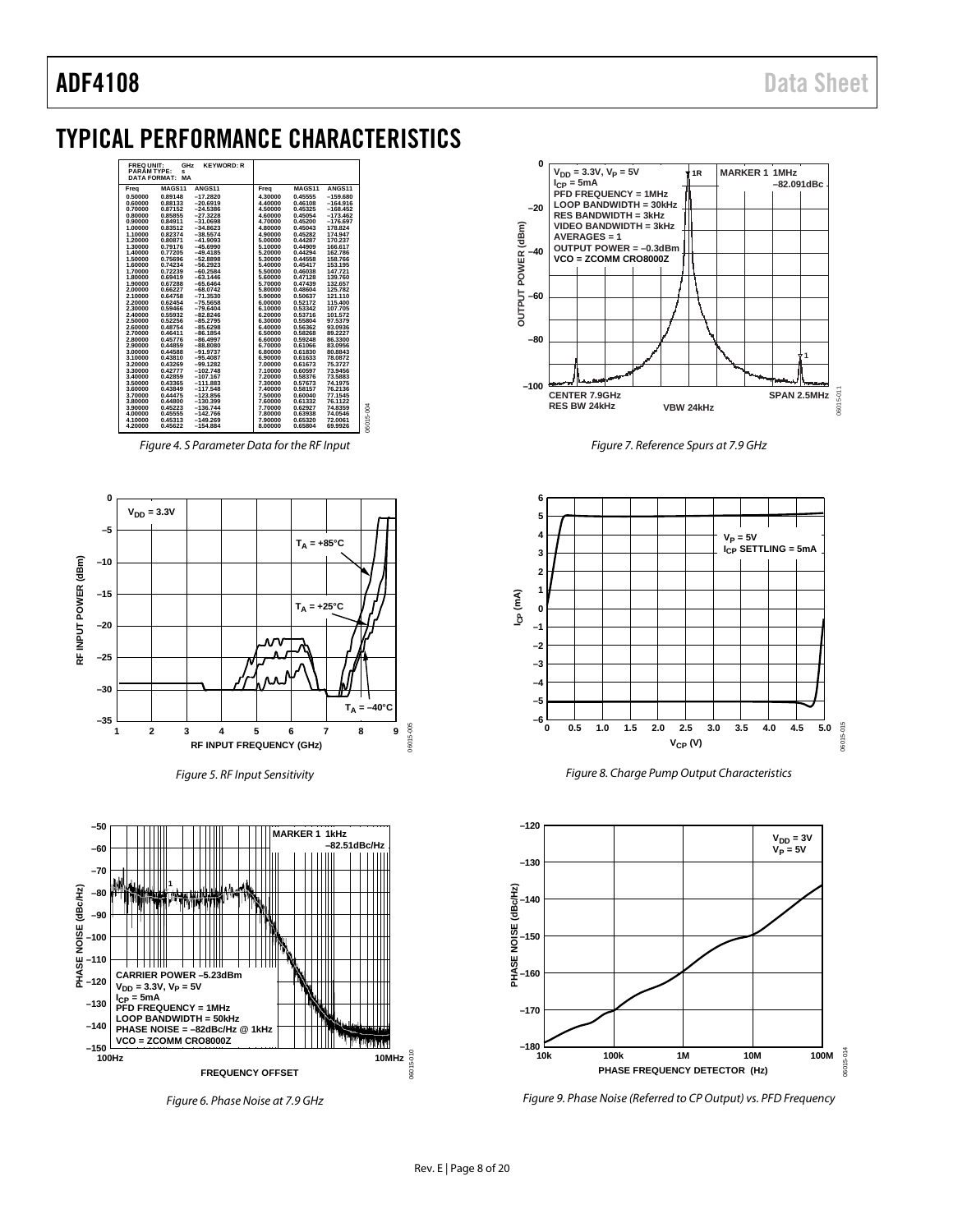# <span id="page-7-0"></span>TYPICAL PERFORMANCE CHARACTERISTICS



*Figure 4. S Parameter Data for the RF Input*



*Figure 5. RF Input Sensitivity*



*Figure 6. Phase Noise at 7.9 GHz*



*Figure 7. Reference Spurs at 7.9 GHz*







*Figure 9. Phase Noise (Referred to CP Output) vs. PFD Frequency*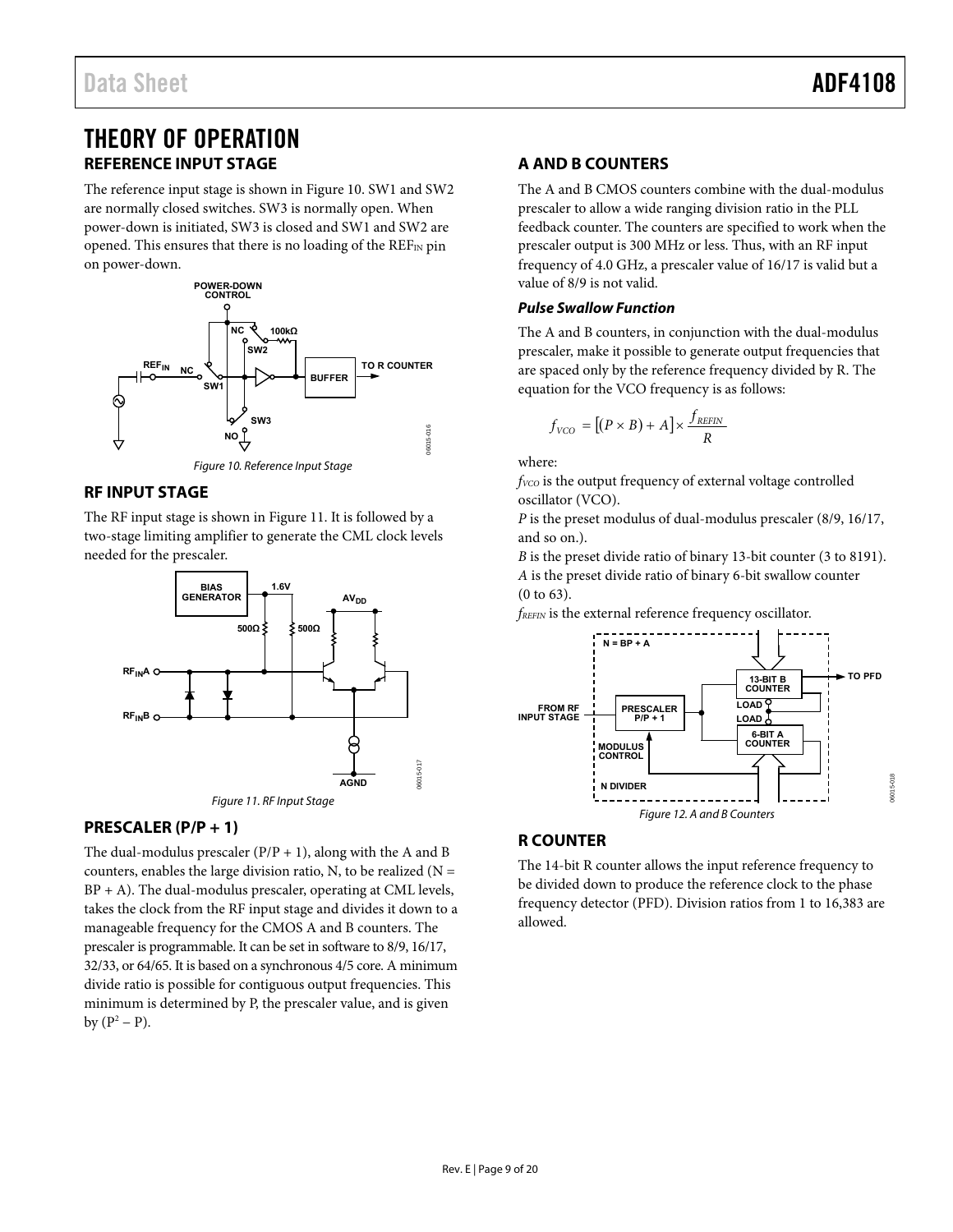# <span id="page-8-0"></span>THEORY OF OPERATION **REFERENCE INPUT STAGE**

<span id="page-8-1"></span>The reference input stage is shown i[n Figure 10.](#page-8-7) SW1 and SW2 are normally closed switches. SW3 is normally open. When power-down is initiated, SW3 is closed and SW1 and SW2 are opened. This ensures that there is no loading of the  $REF_{IN}$  pin on power-down.



#### Figure 10. Reference Input Stage

# <span id="page-8-7"></span><span id="page-8-2"></span>**RF INPUT STAGE**

The RF input stage is shown in [Figure 11.](#page-8-6) It is followed by a two-stage limiting amplifier to generate the CML clock levels needed for the prescaler.



# <span id="page-8-6"></span><span id="page-8-3"></span>**PRESCALER (P/P + 1)**

The dual-modulus prescaler  $(P/P + 1)$ , along with the A and B counters, enables the large division ratio, N, to be realized  $(N =$  $BP + A$ ). The dual-modulus prescaler, operating at CML levels, takes the clock from the RF input stage and divides it down to a manageable frequency for the CMOS A and B counters. The prescaler is programmable. It can be set in software to 8/9, 16/17, 32/33, or 64/65. It is based on a synchronous 4/5 core. A minimum divide ratio is possible for contiguous output frequencies. This minimum is determined by P, the prescaler value, and is given by  $(P^2 - P)$ .

# <span id="page-8-4"></span>**A AND B COUNTERS**

The A and B CMOS counters combine with the dual-modulus prescaler to allow a wide ranging division ratio in the PLL feedback counter. The counters are specified to work when the prescaler output is 300 MHz or less. Thus, with an RF input frequency of 4.0 GHz, a prescaler value of 16/17 is valid but a value of 8/9 is not valid.

## **Pulse Swallow Function**

The A and B counters, in conjunction with the dual-modulus prescaler, make it possible to generate output frequencies that are spaced only by the reference frequency divided by R. The equation for the VCO frequency is as follows:

$$
f_{VCO} = [(P \times B) + A] \times \frac{f_{REFIN}}{R}
$$

where:

*fVCO* is the output frequency of external voltage controlled oscillator (VCO).

*P* is the preset modulus of dual-modulus prescaler (8/9, 16/17, and so on.).

*B* is the preset divide ratio of binary 13-bit counter (3 to 8191). *A* is the preset divide ratio of binary 6-bit swallow counter (0 to 63).

*fREFIN* is the external reference frequency oscillator.



# <span id="page-8-5"></span>**R COUNTER**

The 14-bit R counter allows the input reference frequency to be divided down to produce the reference clock to the phase frequency detector (PFD). Division ratios from 1 to 16,383 are allowed.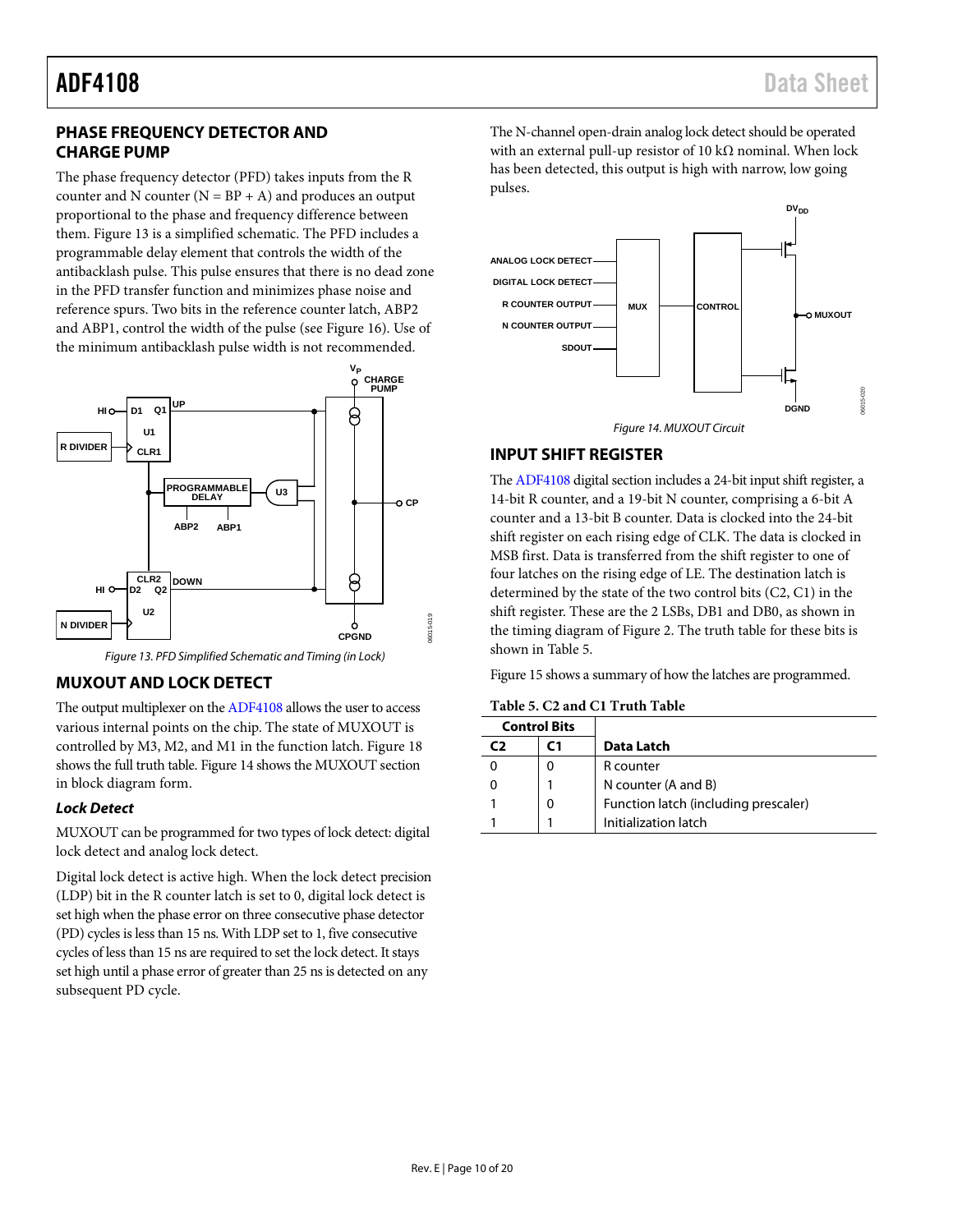# <span id="page-9-0"></span>**PHASE FREQUENCY DETECTOR AND CHARGE PUMP**

The phase frequency detector (PFD) takes inputs from the R counter and N counter  $(N = BP + A)$  and produces an output proportional to the phase and frequency difference between them. [Figure 13](#page-9-3) is a simplified schematic. The PFD includes a programmable delay element that controls the width of the antibacklash pulse. This pulse ensures that there is no dead zone in the PFD transfer function and minimizes phase noise and reference spurs. Two bits in the reference counter latch, ABP2 and ABP1, control the width of the pulse (se[e Figure 16\)](#page-11-1). Use of the minimum antibacklash pulse width is not recommended.



*Figure 13. PFD Simplified Schematic and Timing (in Lock)*

## <span id="page-9-3"></span><span id="page-9-1"></span>**MUXOUT AND LOCK DETECT**

The output multiplexer on th[e ADF4108](http://www.analog.com/ADF4108) allows the user to access various internal points on the chip. The state of MUXOUT is controlled by M3, M2, and M1 in the function latch. [Figure 18](#page-13-1) shows the full truth table[. Figure 14](#page-9-4) shows the MUXOUT section in block diagram form.

## *Lock Detect*

MUXOUT can be programmed for two types of lock detect: digital lock detect and analog lock detect.

Digital lock detect is active high. When the lock detect precision (LDP) bit in the R counter latch is set to 0, digital lock detect is set high when the phase error on three consecutive phase detector (PD) cycles is less than 15 ns. With LDP set to 1, five consecutive cycles of less than 15 ns are required to set the lock detect. It stays set high until a phase error of greater than 25 ns is detected on any subsequent PD cycle.

The N-channel open-drain analog lock detect should be operated with an external pull-up resistor of 10 kΩ nominal. When lock has been detected, this output is high with narrow, low going pulses.



### *Figure 14. MUXOUT Circuit*

## <span id="page-9-4"></span><span id="page-9-2"></span>**INPUT SHIFT REGISTER**

Th[e ADF4108](http://www.analog.com/ADF4108) digital section includes a 24-bit input shift register, a 14-bit R counter, and a 19-bit N counter, comprising a 6-bit A counter and a 13-bit B counter. Data is clocked into the 24-bit shift register on each rising edge of CLK. The data is clocked in MSB first. Data is transferred from the shift register to one of four latches on the rising edge of LE. The destination latch is determined by the state of the two control bits (C2, C1) in the shift register. These are the 2 LSBs, DB1 and DB0, as shown in the timing diagram of [Figure 2.](#page-4-1) The truth table for these bits is shown in [Table 5.](#page-9-5)

[Figure 15](#page-10-1) shows a summary of how the latches are programmed.

<span id="page-9-5"></span>

| Table 5. C2 and C1 Truth Table |
|--------------------------------|
|                                |

| <b>Control Bits</b> |                                      |
|---------------------|--------------------------------------|
|                     | Data Latch                           |
|                     | R counter                            |
|                     | N counter (A and B)                  |
| 0                   | Function latch (including prescaler) |
|                     | Initialization latch                 |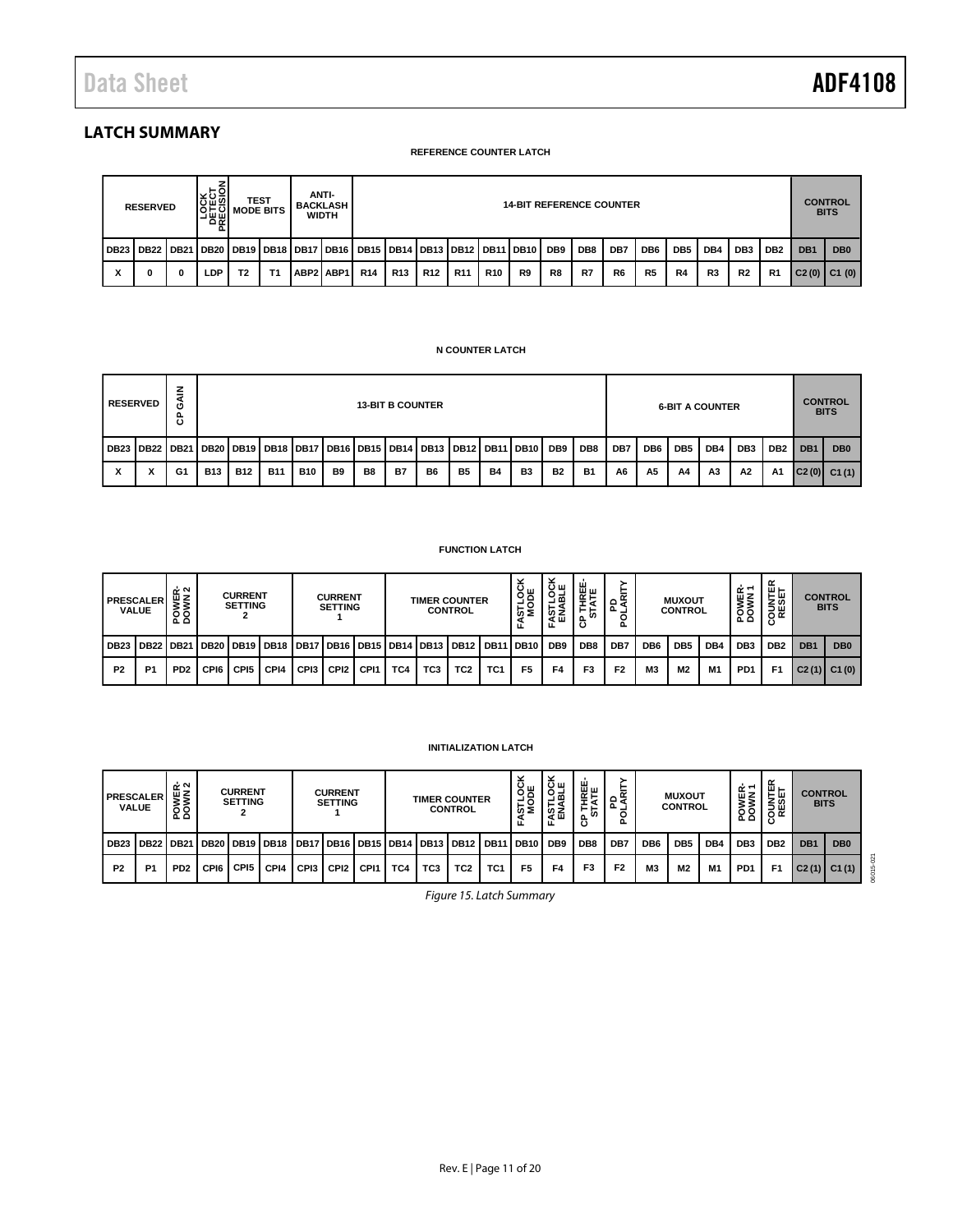# <span id="page-10-0"></span>**LATCH SUMMARY**

#### **REFERENCE COUNTER LATCH**

| <b>LOCK</b><br>ELECT<br>ECISIO<br>ANTI-<br>TEST<br><b>14-BIT REFERENCE COUNTER</b><br><b>BACKLASH</b><br><b>RESERVED</b><br><b>I MODE BITS</b><br><b>WIDTH</b><br>່ດ ∝ |                                                                                                         |   |     |    |    |  |           |            |                 |                 |                 | <b>CONTROL</b><br><b>BITS</b> |    |    |                 |                |                 |                 |     |                 |                 |                 |                 |
|------------------------------------------------------------------------------------------------------------------------------------------------------------------------|---------------------------------------------------------------------------------------------------------|---|-----|----|----|--|-----------|------------|-----------------|-----------------|-----------------|-------------------------------|----|----|-----------------|----------------|-----------------|-----------------|-----|-----------------|-----------------|-----------------|-----------------|
|                                                                                                                                                                        | DB23   DB22   DB21   DB20   DB19   DB18   DB17   DB16   DB15   DB14   DB13   DB12   DB11   DB10     DB9 |   |     |    |    |  |           |            |                 |                 |                 |                               |    |    | DB <sub>8</sub> | DB7            | DB <sub>6</sub> | DB <sub>5</sub> | DB4 | DB <sub>3</sub> | DB <sub>2</sub> | DB <sub>1</sub> | DB <sub>0</sub> |
|                                                                                                                                                                        |                                                                                                         | 0 | LDP | T2 | Τ1 |  | ABP2 ABP1 | <b>R14</b> | R <sub>13</sub> | R <sub>12</sub> | R <sub>11</sub> | <b>R10</b>                    | R9 | R8 | R7              | R <sub>6</sub> | R <sub>5</sub>  | R4              | R3  | <b>R2</b>       | R <sub>1</sub>  |                 | $C2(0)$ C1 (0)  |

### **N COUNTER LATCH**

| <b>RESERVED</b>                                                                                         | z<br>σ<br>පි |            | <b>13-BIT B COUNTER</b> |            |            |           |                |           |                |                |           | <b>6-BIT A COUNTER</b> |           |                 |     |                 |                 |                | <b>CONTROL</b><br><b>BITS</b> |                 |                 |                   |
|---------------------------------------------------------------------------------------------------------|--------------|------------|-------------------------|------------|------------|-----------|----------------|-----------|----------------|----------------|-----------|------------------------|-----------|-----------------|-----|-----------------|-----------------|----------------|-------------------------------|-----------------|-----------------|-------------------|
| DB23   DB22   DB21   DB20   DB19   DB18   DB17   DB16   DB15   DB14   DB13   DB12   DB11   DB10     DB9 |              |            |                         |            |            |           |                |           |                |                |           |                        |           | DB <sub>8</sub> | DB7 | DB <sub>6</sub> | DB <sub>5</sub> | DB4            | DB <sub>3</sub>               | DB <sub>2</sub> | DB <sub>1</sub> | D <sub>B</sub> 0  |
|                                                                                                         | G1           | <b>B13</b> | <b>B12</b>              | <b>B11</b> | <b>B10</b> | <b>B9</b> | B <sub>8</sub> | <b>B7</b> | B <sub>6</sub> | B <sub>5</sub> | <b>B4</b> | <b>B3</b>              | <b>B2</b> | <b>B1</b>       | A6  | A <sub>5</sub>  | A4              | A <sub>3</sub> | A2                            | <b>A1</b>       |                 | $ C2(0) $ $C1(1)$ |

### **FUNCTION LATCH**

| <b>PRESCALER</b><br><b>VALUE</b> |               | ᅶᅐ<br><b>POWEI</b>          | <b>CURRENT</b><br><b>SETTING</b> |                  | <b>CURRENT</b><br><b>SETTING</b> |      |                  | <b>TIMER COUNTER</b><br><b>CONTROL</b> |     |                 |                                                                            | STLOC<br>MODE   | <b>LOCK</b><br>6월<br>⋖⋓<br>ட | 쀭<br>⊢⊢<br>ò.<br>සි | 운숙             |                | <b>MUXOUT</b><br><b>CONTROL</b> |                 | ≃ٰ≌<br><b>POWI</b> | ≃<br>$\mathbf{u}$ $\mathbf{r}$<br><b>SESE</b> |                 | <b>CONTROL</b><br><b>BITS</b> |                 |
|----------------------------------|---------------|-----------------------------|----------------------------------|------------------|----------------------------------|------|------------------|----------------------------------------|-----|-----------------|----------------------------------------------------------------------------|-----------------|------------------------------|---------------------|----------------|----------------|---------------------------------|-----------------|--------------------|-----------------------------------------------|-----------------|-------------------------------|-----------------|
| <b>DB23</b>                      | l DB22 l DB21 |                             |                                  |                  |                                  |      |                  |                                        |     |                 | DB20   DB19   DB18   DB17   DB16   DB15   DB14   DB13   DB12   DB11   DB10 |                 |                              | DB <sub>9</sub>     | DB8            | DB7            | DB <sub>6</sub>                 | DB <sub>5</sub> | DB4                | DB <sub>3</sub>                               | DB <sub>2</sub> | DB <sub>1</sub>               | DB <sub>0</sub> |
| <b>P2</b>                        | <b>P1</b>     | P <sub>D</sub> <sub>2</sub> | CPI6                             | CPI <sub>5</sub> | CPI4                             | CPI3 | CPI <sub>2</sub> | CP <sub>11</sub>                       | TC4 | TC <sub>3</sub> | TC2                                                                        | TC <sub>1</sub> | F <sub>5</sub>               | F4                  | F <sub>3</sub> | F <sub>2</sub> | M <sub>3</sub>                  | M <sub>2</sub>  | M <sub>1</sub>     | PD <sub>1</sub>                               | F <sub>1</sub>  | C2(1)                         | C1(0)           |

### **INITIALIZATION LATCH**

<span id="page-10-1"></span>

| <b>PRESCALER</b> | <b>VALUE</b>   | ᅶᅅ<br>POWEF     |      | <b>CURRENT</b><br><b>SETTING</b> |                    | <b>CURRENT</b><br><b>TIMER COUNTER</b><br><b>SETTING</b><br><b>CONTROL</b> |                  |                  |     | س ب<br>9ğ<br>ωŚ<br>ш. | ≚ա<br>양<br>⊢٩<br>នីនី<br>ட                     | 보일<br>시도<br>⊢⊢<br>ட∾ | <u>—</u><br>≆ه<br>൨<br>o. |                 | <b>MUXOUT</b><br><b>CONTROL</b> |                | ËΣ<br>້<br>68<br>ہ نہ | ш ⊢<br>டய<br>zω<br>コш<br>οĸ<br>с | <b>CONTROL</b><br><b>BITS</b> |                 |                 |                 |                 |
|------------------|----------------|-----------------|------|----------------------------------|--------------------|----------------------------------------------------------------------------|------------------|------------------|-----|-----------------------|------------------------------------------------|----------------------|---------------------------|-----------------|---------------------------------|----------------|-----------------------|----------------------------------|-------------------------------|-----------------|-----------------|-----------------|-----------------|
| <b>DB23</b>      | <b>DB22</b>    | <b>DB21</b>     |      |                                  | DB20   DB19   DB18 |                                                                            |                  |                  |     |                       | DB17   DB16   DB15   DB14   DB13   DB12   DB11 |                      | I DB10                    | DB <sub>9</sub> | DB <sub>8</sub>                 | DB7            | DB <sub>6</sub>       | DB <sub>5</sub>                  | DB <sub>4</sub>               | DB <sub>3</sub> | DB <sub>2</sub> | DB <sub>1</sub> | DB <sub>0</sub> |
| P <sub>2</sub>   | P <sub>1</sub> | PD <sub>2</sub> | CPI6 | CP <sub>15</sub>                 | CPI4               | CP <sub>13</sub>                                                           | CPI <sub>2</sub> | CP <sub>11</sub> | TC4 | TC <sub>3</sub>       | TC <sub>2</sub>                                | TC1                  | F <sub>5</sub>            | F4              | F3                              | F <sub>2</sub> | M <sub>3</sub>        | M2                               | M1                            | PD <sub>1</sub> | F1              |                 | $C2(1)$ $C1(1)$ |

*Figure 15. Latch Summary*

06015-021

06015-021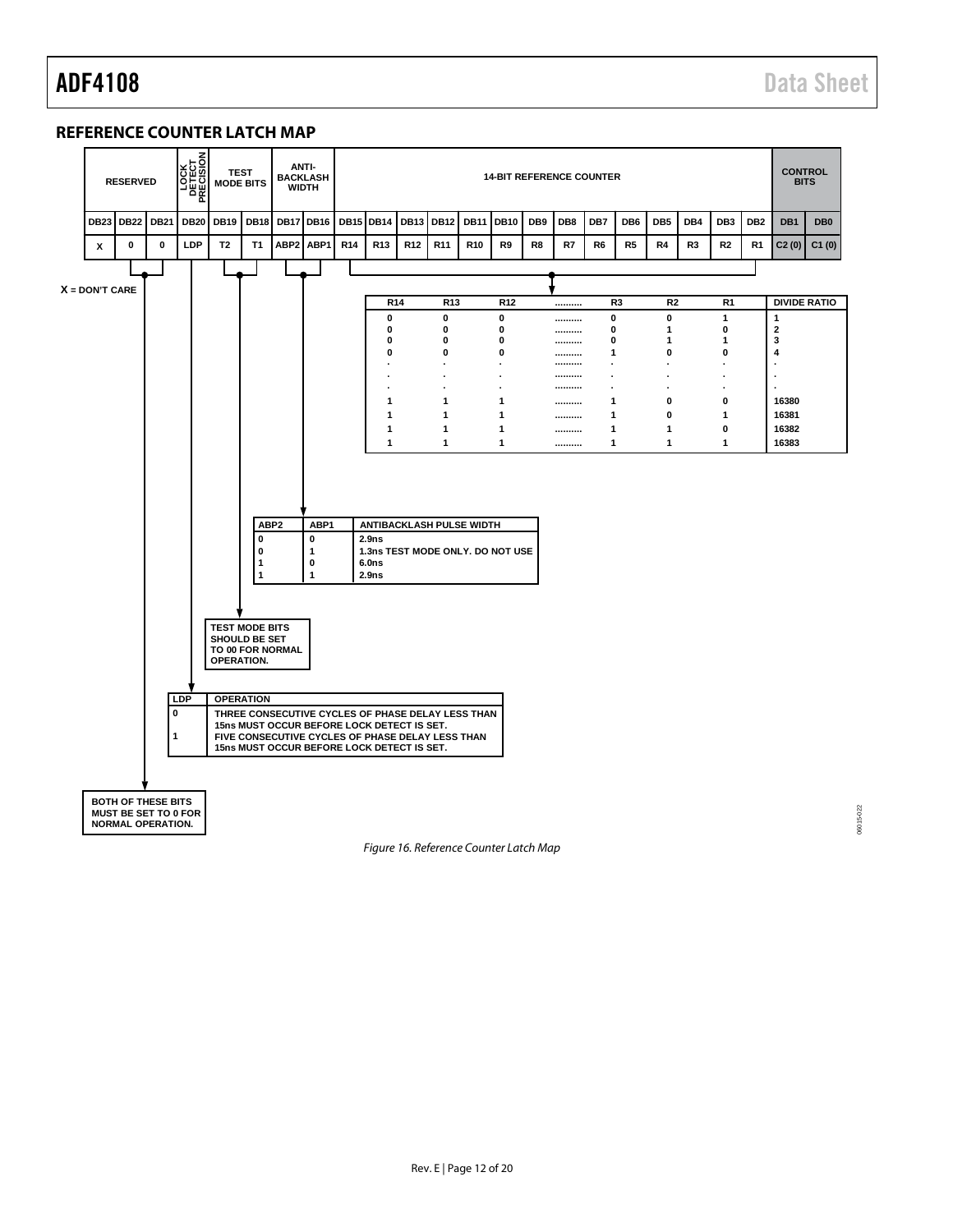# <span id="page-11-0"></span>**REFERENCE COUNTER LATCH MAP**



<span id="page-11-1"></span>*Figure 16. Reference Counter Latch Map*

06015-022 06015-022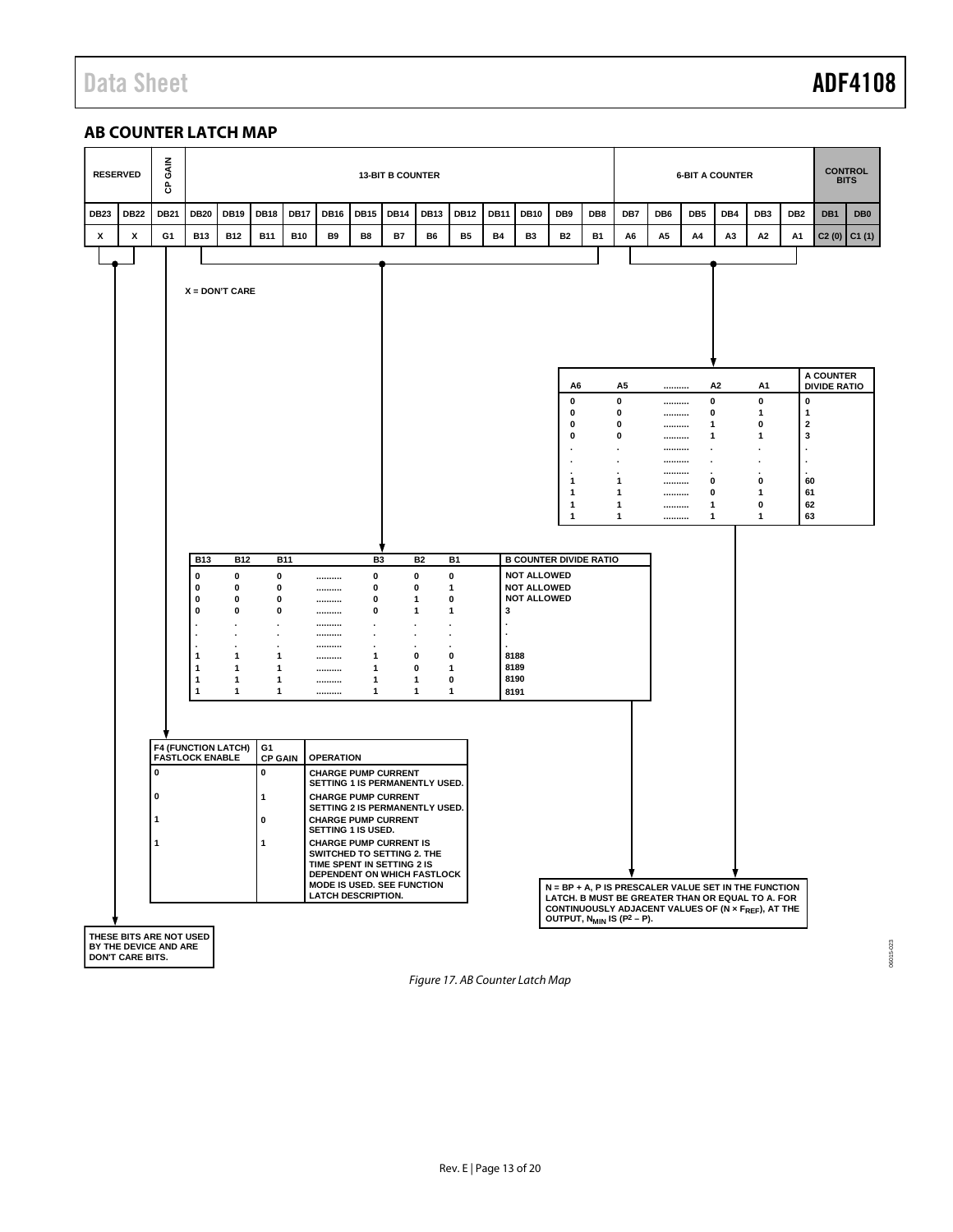# Data Sheet **ADF4108**

# <span id="page-12-0"></span>**AB COUNTER LATCH MAP**

| <b>RESERVED</b> | GAIN<br>ჭ                                   |                                                                                                                                |                                                                                  |                                                            |             |                                                                                                                                                                                                                                                                                                                                                                                             |                                                                                                                                                                     | <b>13-BIT B COUNTER</b>                                                   |                                               |                                                                                                                         |             |                                                                                                                         |                                                                                    |           |                                                      |                                                                                                                                                                | <b>6-BIT A COUNTER</b>                            |     |                                  |                                                           |                                  | <b>CONTROL</b><br><b>BITS</b> |
|-----------------|---------------------------------------------|--------------------------------------------------------------------------------------------------------------------------------|----------------------------------------------------------------------------------|------------------------------------------------------------|-------------|---------------------------------------------------------------------------------------------------------------------------------------------------------------------------------------------------------------------------------------------------------------------------------------------------------------------------------------------------------------------------------------------|---------------------------------------------------------------------------------------------------------------------------------------------------------------------|---------------------------------------------------------------------------|-----------------------------------------------|-------------------------------------------------------------------------------------------------------------------------|-------------|-------------------------------------------------------------------------------------------------------------------------|------------------------------------------------------------------------------------|-----------|------------------------------------------------------|----------------------------------------------------------------------------------------------------------------------------------------------------------------|---------------------------------------------------|-----|----------------------------------|-----------------------------------------------------------|----------------------------------|-------------------------------|
| <b>DB22</b>     | <b>DB21</b>                                 | <b>DB20</b>                                                                                                                    | <b>DB19</b>                                                                      | <b>DB18</b>                                                | <b>DB17</b> | <b>DB16</b>                                                                                                                                                                                                                                                                                                                                                                                 | <b>DB15</b>                                                                                                                                                         | <b>DB14</b>                                                               | <b>DB13</b>                                   | <b>DB12</b>                                                                                                             | <b>DB11</b> | <b>DB10</b>                                                                                                             | DB9                                                                                | DB8       | DB7                                                  | DB6                                                                                                                                                            | DB5                                               | DB4 | DB <sub>3</sub>                  | DB <sub>2</sub>                                           | DB1                              | DB <sub>0</sub>               |
| x               | G1                                          | <b>B13</b>                                                                                                                     | <b>B12</b>                                                                       | <b>B11</b>                                                 | <b>B10</b>  | B9                                                                                                                                                                                                                                                                                                                                                                                          | B8                                                                                                                                                                  | <b>B7</b>                                                                 | B6                                            | <b>B5</b>                                                                                                               | <b>B4</b>   | B <sub>3</sub>                                                                                                          | <b>B2</b>                                                                          | <b>B1</b> | A6                                                   | A <sub>5</sub>                                                                                                                                                 | A4                                                | A3  | A <sub>2</sub>                   | A <sub>1</sub>                                            | C2(0)                            | C1(1)                         |
|                 |                                             |                                                                                                                                | $X = DON'T CARE$                                                                 |                                                            |             |                                                                                                                                                                                                                                                                                                                                                                                             |                                                                                                                                                                     |                                                                           |                                               |                                                                                                                         |             |                                                                                                                         | A6<br>0<br>$\mathbf 0$<br>0<br>0                                                   |           | A <sub>5</sub><br>0<br>$\mathbf 0$<br>$\pmb{0}$<br>0 | <br><br><br>                                                                                                                                                   | 0<br>$\mathbf 0$<br>1<br>1                        | A2  | A1<br>0<br>1<br>$\mathbf 0$<br>1 | $\pmb{0}$<br>$\mathbf{1}$<br>$\overline{\mathbf{2}}$<br>3 | A COUNTER<br><b>DIVIDE RATIO</b> |                               |
|                 |                                             |                                                                                                                                |                                                                                  |                                                            |             |                                                                                                                                                                                                                                                                                                                                                                                             |                                                                                                                                                                     |                                                                           |                                               |                                                                                                                         |             |                                                                                                                         | $\cdot$<br>$\mathbf{1}$<br>$\mathbf{1}$<br>$\mathbf{1}$<br>$\overline{\mathbf{1}}$ |           | $\mathbf{1}$<br>1<br>$\mathbf{1}$<br>$\mathbf{1}$    | <br><br><br><br><br><br><br>                                                                                                                                   | $\cdot$<br>0<br>0<br>$\mathbf{1}$<br>$\mathbf{1}$ |     | $\mathbf{0}$<br>1<br>0<br>1      | 60<br>61<br>62<br>63                                      |                                  |                               |
|                 |                                             | <b>B13</b><br>$\pmb{0}$<br>0<br>$\pmb{0}$<br>$\mathbf 0$<br>÷,<br>$\mathbf{1}$<br>$\mathbf{1}$<br>$\mathbf{1}$<br>$\mathbf{1}$ | <b>B12</b><br>$\pmb{0}$<br>0<br>0<br>0<br>$\mathbf{1}$<br>1<br>1<br>$\mathbf{1}$ | 0<br>0<br>0<br>0<br>1<br>1<br>1<br>$\mathbf{1}$            | <b>B11</b>  | <br><br><br><br><br><br><br><br><br><br>                                                                                                                                                                                                                                                                                                                                                    | B <sub>3</sub><br>$\pmb{0}$<br>0<br>0<br>$\mathbf 0$<br>$\blacksquare$<br>$\cdot$<br>$\blacksquare$<br>$\mathbf{1}$<br>$\mathbf{1}$<br>$\mathbf{1}$<br>$\mathbf{1}$ | $\mathbf 0$<br>$\blacksquare$<br>$\blacksquare$<br>$\pmb{0}$<br>$\pmb{0}$ | <b>B2</b><br>0<br>1<br>1<br>1<br>$\mathbf{1}$ | B <sub>1</sub><br>0<br>1<br>0<br>$\mathbf{1}$<br>$\cdot$<br>$\cdot$<br>$\mathbf 0$<br>$\mathbf{1}$<br>0<br>$\mathbf{1}$ | 3<br>8191   | <b>B COUNTER DIVIDE RATIO</b><br><b>NOT ALLOWED</b><br><b>NOT ALLOWED</b><br><b>NOT ALLOWED</b><br>8188<br>8189<br>8190 |                                                                                    |           |                                                      |                                                                                                                                                                |                                                   |     |                                  |                                                           |                                  |                               |
|                 | $\mathbf 0$<br>0<br>THESE BITS ARE NOT USED | <b>FASTLOCK ENABLE</b>                                                                                                         | <b>F4 (FUNCTION LATCH)</b>                                                       | G1<br><b>CP GAIN</b><br>$\pmb{0}$<br>1<br>$\mathbf 0$<br>1 |             | <b>OPERATION</b><br><b>CHARGE PUMP CURRENT</b><br>SETTING 1 IS PERMANENTLY USED.<br><b>CHARGE PUMP CURRENT</b><br>SETTING 2 IS PERMANENTLY USED.<br><b>CHARGE PUMP CURRENT</b><br>SETTING 1 IS USED.<br><b>CHARGE PUMP CURRENT IS</b><br>SWITCHED TO SETTING 2. THE<br>TIME SPENT IN SETTING 2 IS<br>DEPENDENT ON WHICH FASTLOCK<br>MODE IS USED. SEE FUNCTION<br><b>LATCH DESCRIPTION.</b> |                                                                                                                                                                     |                                                                           |                                               |                                                                                                                         |             |                                                                                                                         | OUTPUT, N <sub>MIN</sub> IS (P <sup>2</sup> – P).                                  |           |                                                      | N = BP + A, P IS PRESCALER VALUE SET IN THE FUNCTION<br>LATCH. B MUST BE GREATER THAN OR EQUAL TO A. FOR<br>CONTINUOUSLY ADJACENT VALUES OF (N x FREF), AT THE |                                                   |     |                                  |                                                           |                                  |                               |

**THESE BITS ARE NOT USED BY THE DEVICE AND ARE DON'T CARE BITS.**

*Figure 17. AB Counter Latch Map*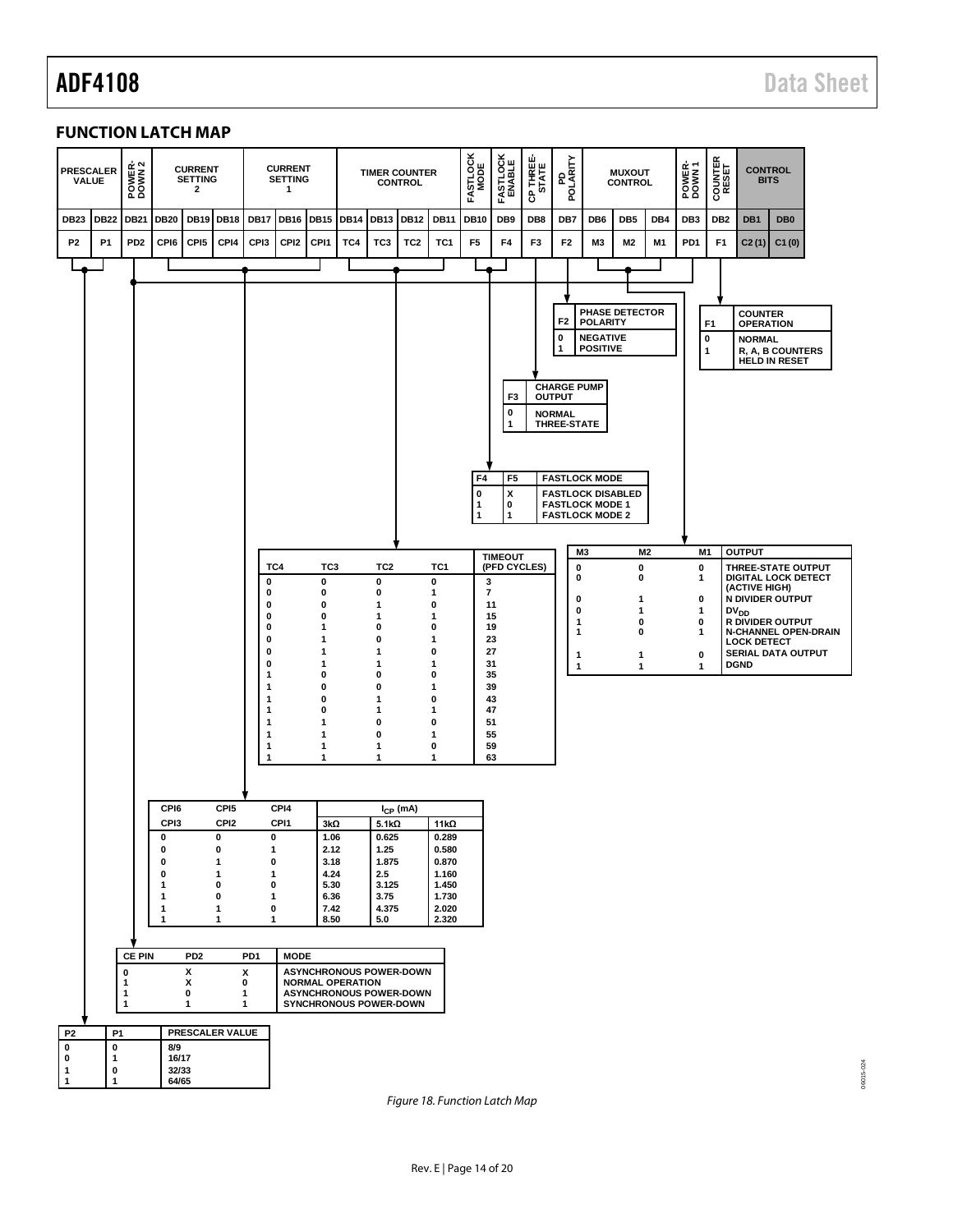06015-024

06015-024

# <span id="page-13-0"></span>**FUNCTION LATCH MAP**



<span id="page-13-1"></span>*Figure 18. Function Latch Map*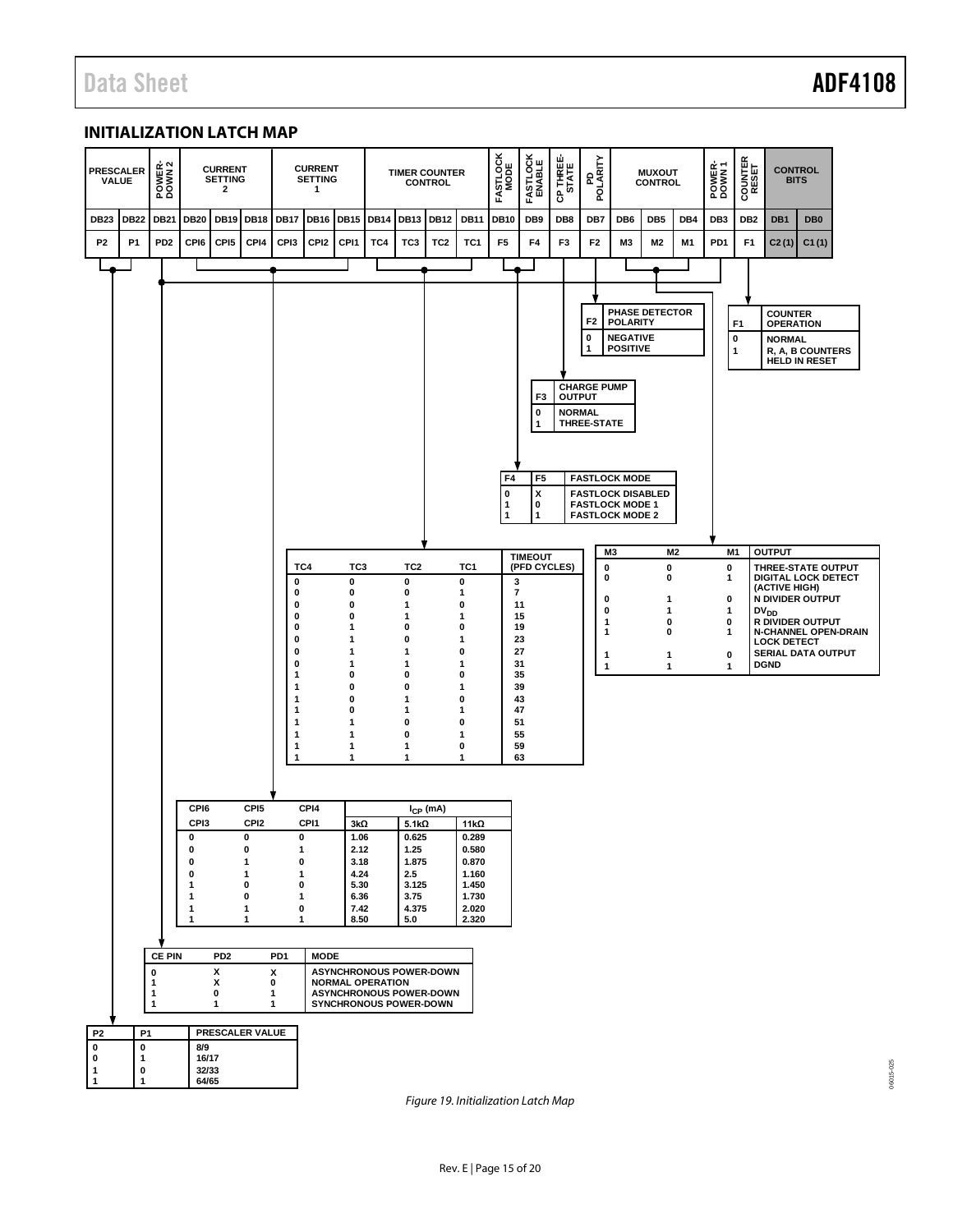06015-025

06015-025

# <span id="page-14-0"></span>**INITIALIZATION LATCH MAP**



*Figure 19. Initialization Latch Map*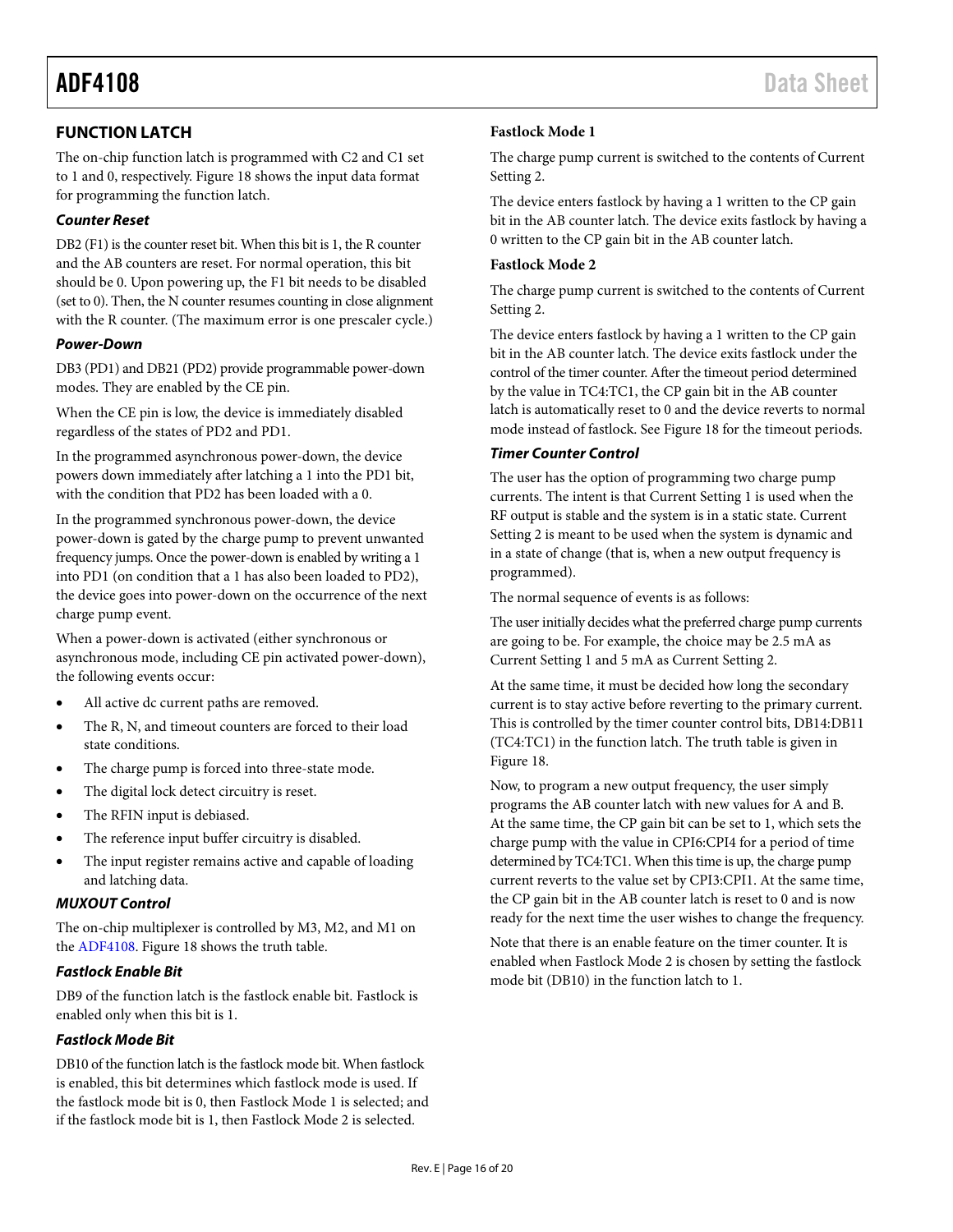# <span id="page-15-0"></span>**FUNCTION LATCH**

The on-chip function latch is programmed with C2 and C1 set to 1 and 0, respectively. [Figure 18](#page-13-1) shows the input data format for programming the function latch.

## *Counter Reset*

DB2 (F1) is the counter reset bit. When this bit is 1, the R counter and the AB counters are reset. For normal operation, this bit should be 0. Upon powering up, the F1 bit needs to be disabled (set to 0). Then, the N counter resumes counting in close alignment with the R counter. (The maximum error is one prescaler cycle.)

## *Power-Down*

DB3 (PD1) and DB21 (PD2) provide programmable power-down modes. They are enabled by the CE pin.

When the CE pin is low, the device is immediately disabled regardless of the states of PD2 and PD1.

In the programmed asynchronous power-down, the device powers down immediately after latching a 1 into the PD1 bit, with the condition that PD2 has been loaded with a 0.

In the programmed synchronous power-down, the device power-down is gated by the charge pump to prevent unwanted frequency jumps. Once the power-down is enabled by writing a 1 into PD1 (on condition that a 1 has also been loaded to PD2), the device goes into power-down on the occurrence of the next charge pump event.

When a power-down is activated (either synchronous or asynchronous mode, including CE pin activated power-down), the following events occur:

- All active dc current paths are removed.
- The R, N, and timeout counters are forced to their load state conditions.
- The charge pump is forced into three-state mode.
- The digital lock detect circuitry is reset.
- The RFIN input is debiased.
- The reference input buffer circuitry is disabled.
- The input register remains active and capable of loading and latching data.

## *MUXOUT Control*

The on-chip multiplexer is controlled by M3, M2, and M1 on the [ADF4108.](http://www.analog.com/ADF4108) [Figure 18](#page-13-1) shows the truth table.

# *Fastlock Enable Bit*

DB9 of the function latch is the fastlock enable bit. Fastlock is enabled only when this bit is 1.

# *Fastlock Mode Bit*

DB10 of the function latch is the fastlock mode bit. When fastlock is enabled, this bit determines which fastlock mode is used. If the fastlock mode bit is 0, then Fastlock Mode 1 is selected; and if the fastlock mode bit is 1, then Fastlock Mode 2 is selected.

# **Fastlock Mode 1**

The charge pump current is switched to the contents of Current Setting 2.

The device enters fastlock by having a 1 written to the CP gain bit in the AB counter latch. The device exits fastlock by having a 0 written to the CP gain bit in the AB counter latch.

## **Fastlock Mode 2**

The charge pump current is switched to the contents of Current Setting 2.

The device enters fastlock by having a 1 written to the CP gain bit in the AB counter latch. The device exits fastlock under the control of the timer counter. After the timeout period determined by the value in TC4:TC1, the CP gain bit in the AB counter latch is automatically reset to 0 and the device reverts to normal mode instead of fastlock. Se[e Figure 18](#page-13-1) for the timeout periods.

# *Timer Counter Control*

The user has the option of programming two charge pump currents. The intent is that Current Setting 1 is used when the RF output is stable and the system is in a static state. Current Setting 2 is meant to be used when the system is dynamic and in a state of change (that is, when a new output frequency is programmed).

The normal sequence of events is as follows:

The user initially decides what the preferred charge pump currents are going to be. For example, the choice may be 2.5 mA as Current Setting 1 and 5 mA as Current Setting 2.

At the same time, it must be decided how long the secondary current is to stay active before reverting to the primary current. This is controlled by the timer counter control bits, DB14:DB11 (TC4:TC1) in the function latch. The truth table is given in [Figure 18.](#page-13-1)

Now, to program a new output frequency, the user simply programs the AB counter latch with new values for A and B. At the same time, the CP gain bit can be set to 1, which sets the charge pump with the value in CPI6:CPI4 for a period of time determined by TC4:TC1. When this time is up, the charge pump current reverts to the value set by CPI3:CPI1. At the same time, the CP gain bit in the AB counter latch is reset to 0 and is now ready for the next time the user wishes to change the frequency.

Note that there is an enable feature on the timer counter. It is enabled when Fastlock Mode 2 is chosen by setting the fastlock mode bit (DB10) in the function latch to 1.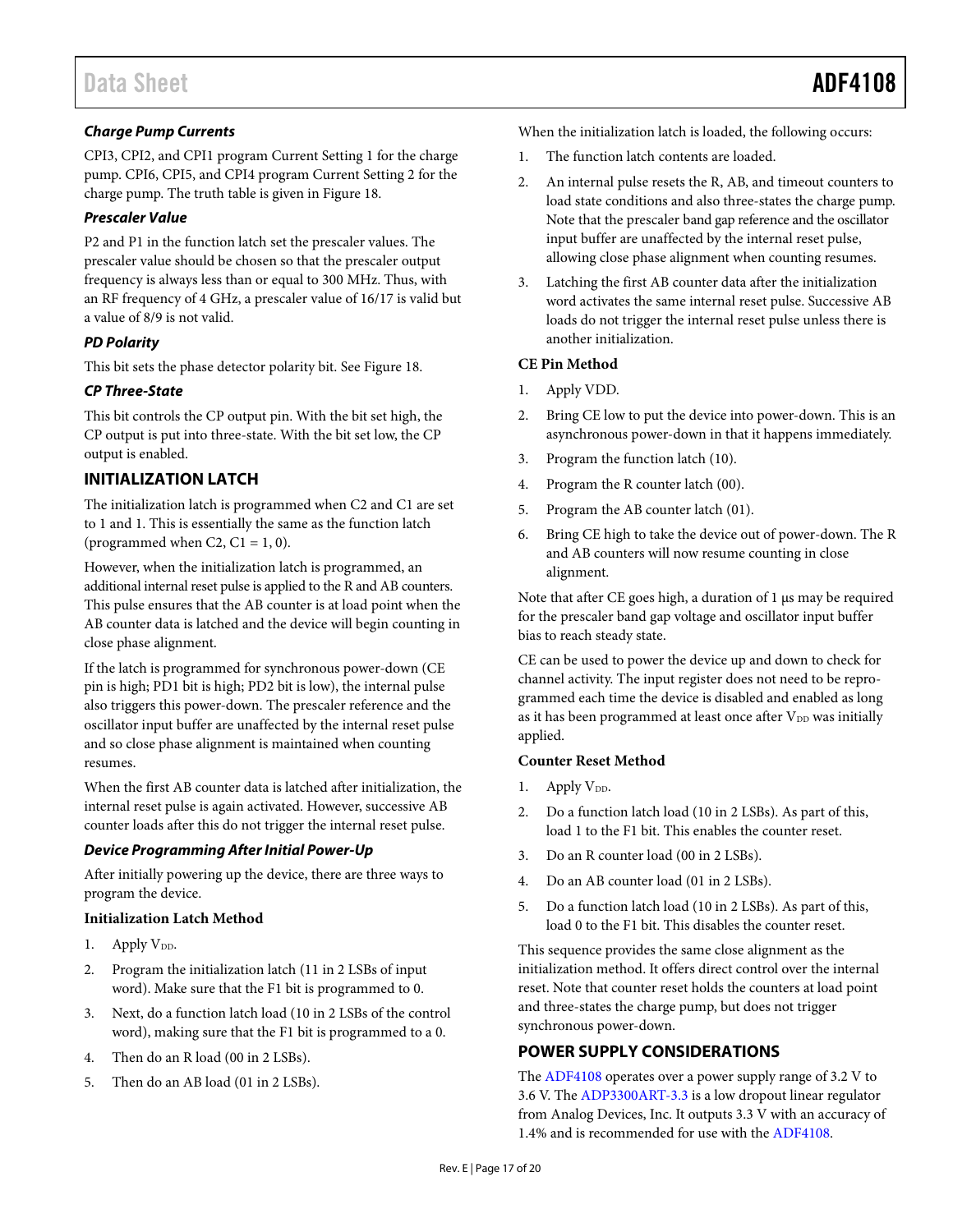# *Charge Pump Currents*

CPI3, CPI2, and CPI1 program Current Setting 1 for the charge pump. CPI6, CPI5, and CPI4 program Current Setting 2 for the charge pump. The truth table is given i[n Figure 18.](#page-13-1)

# *Prescaler Value*

P2 and P1 in the function latch set the prescaler values. The prescaler value should be chosen so that the prescaler output frequency is always less than or equal to 300 MHz. Thus, with an RF frequency of 4 GHz, a prescaler value of 16/17 is valid but a value of 8/9 is not valid.

# *PD Polarity*

This bit sets the phase detector polarity bit. See [Figure 18.](#page-13-1)

# *CP Three-State*

This bit controls the CP output pin. With the bit set high, the CP output is put into three-state. With the bit set low, the CP output is enabled.

# <span id="page-16-0"></span>**INITIALIZATION LATCH**

The initialization latch is programmed when C2 and C1 are set to 1 and 1. This is essentially the same as the function latch (programmed when C2,  $C1 = 1, 0$ ).

However, when the initialization latch is programmed, an additional internal reset pulse is applied to the R and AB counters. This pulse ensures that the AB counter is at load point when the AB counter data is latched and the device will begin counting in close phase alignment.

If the latch is programmed for synchronous power-down (CE pin is high; PD1 bit is high; PD2 bit is low), the internal pulse also triggers this power-down. The prescaler reference and the oscillator input buffer are unaffected by the internal reset pulse and so close phase alignment is maintained when counting resumes.

When the first AB counter data is latched after initialization, the internal reset pulse is again activated. However, successive AB counter loads after this do not trigger the internal reset pulse.

## *Device Programming After Initial Power-Up*

After initially powering up the device, there are three ways to program the device.

## **Initialization Latch Method**

- 1. Apply  $V_{DD}$ .
- 2. Program the initialization latch (11 in 2 LSBs of input word). Make sure that the F1 bit is programmed to 0.
- 3. Next, do a function latch load (10 in 2 LSBs of the control word), making sure that the F1 bit is programmed to a 0.
- 4. Then do an R load (00 in 2 LSBs).
- 5. Then do an AB load (01 in 2 LSBs).

When the initialization latch is loaded, the following occurs:

- 1. The function latch contents are loaded.
- 2. An internal pulse resets the R, AB, and timeout counters to load state conditions and also three-states the charge pump. Note that the prescaler band gap reference and the oscillator input buffer are unaffected by the internal reset pulse, allowing close phase alignment when counting resumes.
- 3. Latching the first AB counter data after the initialization word activates the same internal reset pulse. Successive AB loads do not trigger the internal reset pulse unless there is another initialization.

# **CE Pin Method**

- 1. Apply VDD.
- 2. Bring CE low to put the device into power-down. This is an asynchronous power-down in that it happens immediately.
- 3. Program the function latch (10).
- 4. Program the R counter latch (00).
- 5. Program the AB counter latch (01).
- 6. Bring CE high to take the device out of power-down. The R and AB counters will now resume counting in close alignment.

Note that after CE goes high, a duration of 1 μs may be required for the prescaler band gap voltage and oscillator input buffer bias to reach steady state.

CE can be used to power the device up and down to check for channel activity. The input register does not need to be reprogrammed each time the device is disabled and enabled as long as it has been programmed at least once after V<sub>DD</sub> was initially applied.

## **Counter Reset Method**

- 1. Apply  $V_{DD}$ .
- 2. Do a function latch load (10 in 2 LSBs). As part of this, load 1 to the F1 bit. This enables the counter reset.
- 3. Do an R counter load (00 in 2 LSBs).
- 4. Do an AB counter load (01 in 2 LSBs).
- 5. Do a function latch load (10 in 2 LSBs). As part of this, load 0 to the F1 bit. This disables the counter reset.

This sequence provides the same close alignment as the initialization method. It offers direct control over the internal reset. Note that counter reset holds the counters at load point and three-states the charge pump, but does not trigger synchronous power-down.

# <span id="page-16-1"></span>**POWER SUPPLY CONSIDERATIONS**

The [ADF4108](http://www.analog.com/ADF4108) operates over a power supply range of 3.2 V to 3.6 V. Th[e ADP3300ART-3.3](http://www.analog.com/adp3300) is a low dropout linear regulator from Analog Devices, Inc. It outputs 3.3 V with an accuracy of 1.4% and is recommended for use with th[e ADF4108.](http://www.analog.com/ADF4108)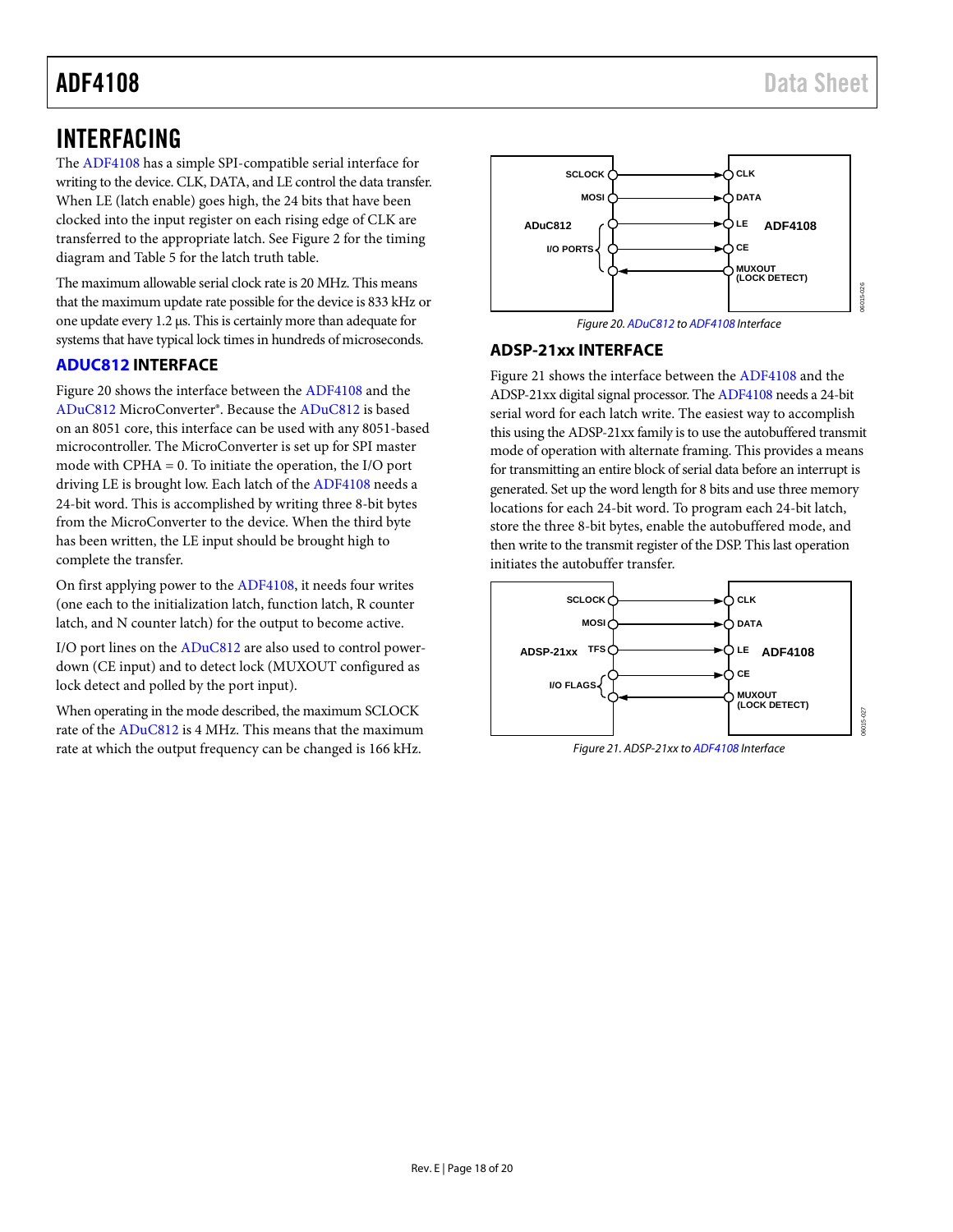# <span id="page-17-0"></span>INTERFACING

The [ADF4108](http://www.analog.com/ADF4108) has a simple SPI-compatible serial interface for writing to the device. CLK, DATA, and LE control the data transfer. When LE (latch enable) goes high, the 24 bits that have been clocked into the input register on each rising edge of CLK are transferred to the appropriate latch. Se[e Figure 2](#page-4-1) for the timing diagram and [Table 5](#page-9-5) for the latch truth table.

The maximum allowable serial clock rate is 20 MHz. This means that the maximum update rate possible for the device is 833 kHz or one update every 1.2 µs. This is certainly more than adequate for systems that have typical lock times in hundreds of microseconds.

# <span id="page-17-1"></span>**[ADUC812](http://www.analog.com/ADuC812) INTERFACE**

[Figure 20](#page-17-3) shows the interface between th[e ADF4108](http://www.analog.com/ADF4108) and the [ADuC812](http://www.analog.com/aduc812) MicroConverter®. Because th[e ADuC812](http://www.analog.com/ADuC812) is based on an 8051 core, this interface can be used with any 8051-based microcontroller. The MicroConverter is set up for SPI master mode with CPHA = 0. To initiate the operation, the I/O port driving LE is brought low. Each latch of th[e ADF4108](http://www.analog.com/ADF4108) needs a 24-bit word. This is accomplished by writing three 8-bit bytes from the MicroConverter to the device. When the third byte has been written, the LE input should be brought high to complete the transfer.

On first applying power to th[e ADF4108,](http://www.analog.com/ADF4108) it needs four writes (one each to the initialization latch, function latch, R counter latch, and N counter latch) for the output to become active.

I/O port lines on the [ADuC812](http://www.analog.com/ADuC812) are also used to control powerdown (CE input) and to detect lock (MUXOUT configured as lock detect and polled by the port input).

When operating in the mode described, the maximum SCLOCK rate of th[e ADuC812](http://www.analog.com/ADuC812) is 4 MHz. This means that the maximum rate at which the output frequency can be changed is 166 kHz.



*Figure 20[. ADuC812](http://www.analog.com/ADuC812) t[o ADF4108](http://www.analog.com/ADF4108) Interface*

# <span id="page-17-3"></span><span id="page-17-2"></span>**ADSP-21xx INTERFACE**

[Figure 21](#page-17-4) shows the interface between th[e ADF4108](http://www.analog.com/ADF4108) and the ADSP-21xx digital signal processor. Th[e ADF4108](http://www.analog.com/ADF4108) needs a 24-bit serial word for each latch write. The easiest way to accomplish this using the ADSP-21xx family is to use the autobuffered transmit mode of operation with alternate framing. This provides a means for transmitting an entire block of serial data before an interrupt is generated. Set up the word length for 8 bits and use three memory locations for each 24-bit word. To program each 24-bit latch, store the three 8-bit bytes, enable the autobuffered mode, and then write to the transmit register of the DSP. This last operation initiates the autobuffer transfer.



<span id="page-17-4"></span>*Figure 21. ADSP-21xx t[o ADF4108](http://www.analog.com/ADF4108) Interface*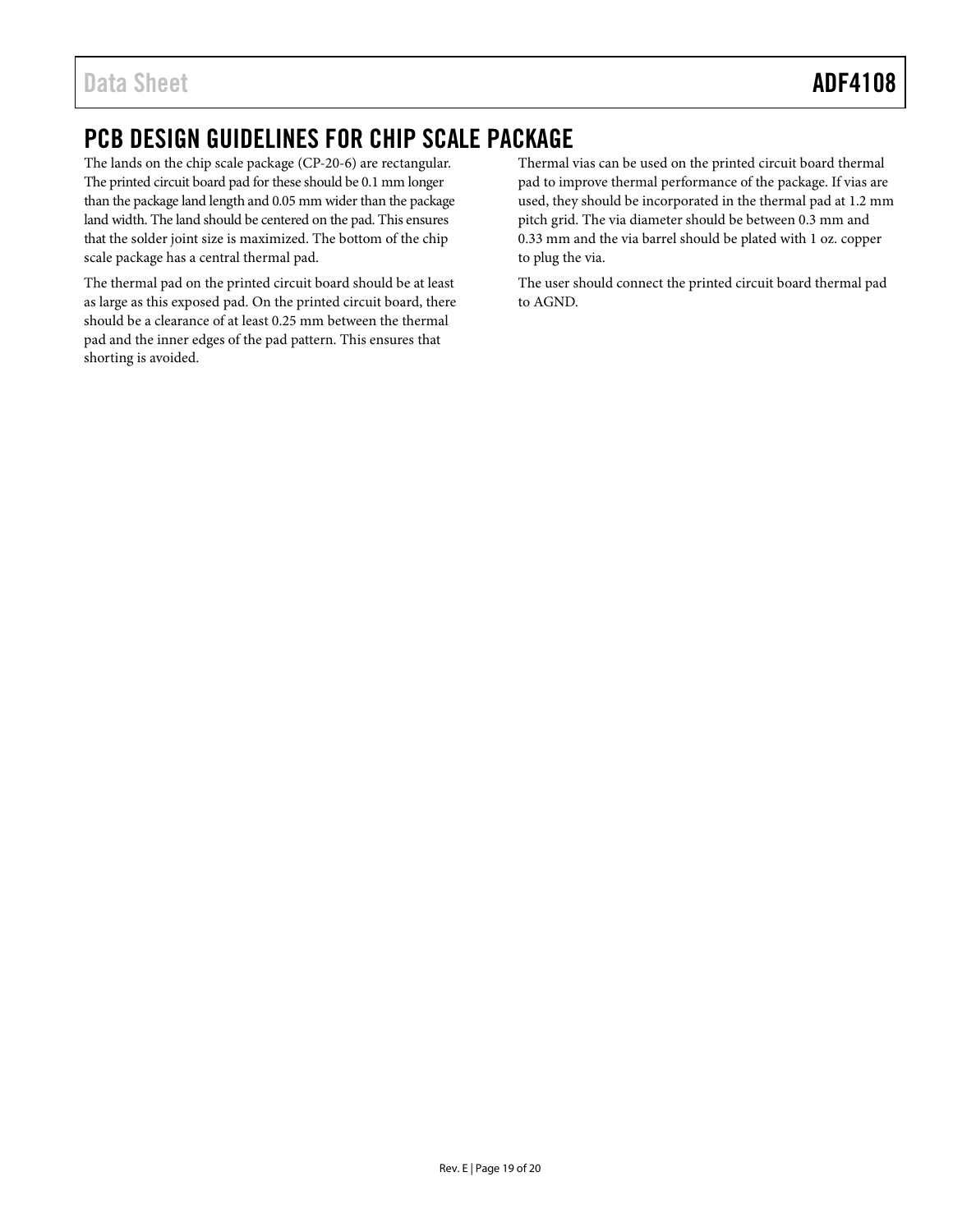# <span id="page-18-0"></span>PCB DESIGN GUIDELINES FOR CHIP SCALE PACKAGE

The lands on the chip scale package (CP-20-6) are rectangular. The printed circuit board pad for these should be 0.1 mm longer than the package land length and 0.05 mm wider than the package land width. The land should be centered on the pad. This ensures that the solder joint size is maximized. The bottom of the chip scale package has a central thermal pad.

The thermal pad on the printed circuit board should be at least as large as this exposed pad. On the printed circuit board, there should be a clearance of at least 0.25 mm between the thermal pad and the inner edges of the pad pattern. This ensures that shorting is avoided.

Thermal vias can be used on the printed circuit board thermal pad to improve thermal performance of the package. If vias are used, they should be incorporated in the thermal pad at 1.2 mm pitch grid. The via diameter should be between 0.3 mm and 0.33 mm and the via barrel should be plated with 1 oz. copper to plug the via.

The user should connect the printed circuit board thermal pad to AGND.